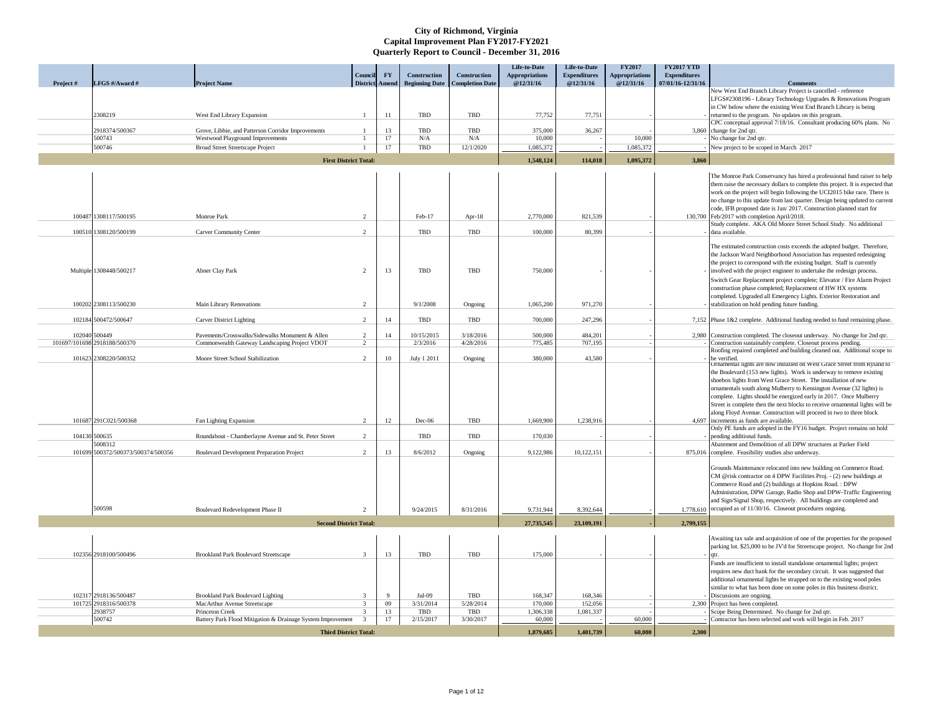|           |                                                |                                                                                         | <b>Council</b>              | <b>FY</b> | Construction                         | Construction             | Life-to-Date<br><b>Appropriations</b> | Life-to-Date<br><b>Expenditures</b> | <b>FY2017</b><br><b>Appropriations</b> | <b>FY2017 YTD</b><br><b>Expenditures</b> |                                                                                                                                                                                                                                                                                                                                                                                                                                                                                                                                                            |
|-----------|------------------------------------------------|-----------------------------------------------------------------------------------------|-----------------------------|-----------|--------------------------------------|--------------------------|---------------------------------------|-------------------------------------|----------------------------------------|------------------------------------------|------------------------------------------------------------------------------------------------------------------------------------------------------------------------------------------------------------------------------------------------------------------------------------------------------------------------------------------------------------------------------------------------------------------------------------------------------------------------------------------------------------------------------------------------------------|
| Project # | LFGS #/Award #                                 | <b>Project Name</b>                                                                     |                             |           | <b>District Amend Beginning Date</b> | <b>Completion Date</b>   | @12/31/16                             | @12/31/16                           | @12/31/16                              | 07/01/16-12/31/16                        | <b>Comments</b>                                                                                                                                                                                                                                                                                                                                                                                                                                                                                                                                            |
|           |                                                |                                                                                         |                             |           |                                      |                          |                                       |                                     |                                        |                                          | New West End Branch Library Project is cancelled - reference<br>LFGS#2308196 - Library Technology Upgrades & Renovations Program<br>in CW below where the existing West End Branch Library is being                                                                                                                                                                                                                                                                                                                                                        |
|           | 2308219                                        | West End Library Expansion                                                              |                             | 11        | <b>TBD</b>                           | <b>TBD</b>               | 77,752                                | 77,751                              |                                        |                                          | returned to the program. No updates on this program.                                                                                                                                                                                                                                                                                                                                                                                                                                                                                                       |
|           |                                                |                                                                                         |                             |           |                                      |                          |                                       |                                     |                                        |                                          | CPC conceptual approval 7/18/16. Consultant producing 60% plans. No                                                                                                                                                                                                                                                                                                                                                                                                                                                                                        |
|           | 2918374/500367                                 | Grove, Libbie, and Patterson Corridor Improvements                                      |                             | 13        | <b>TBD</b>                           | <b>TBD</b>               | 375,000                               | 36,267                              |                                        |                                          | 3,860 change for 2nd qtr.                                                                                                                                                                                                                                                                                                                                                                                                                                                                                                                                  |
|           | 500743<br>500746                               | Westwood Playground Improvements                                                        |                             | 17<br>17  | N/A<br><b>TBD</b>                    | N/A<br>12/1/2020         | 10,000                                |                                     | 10,000                                 |                                          | No change for 2nd qtr.                                                                                                                                                                                                                                                                                                                                                                                                                                                                                                                                     |
|           |                                                | <b>Broad Street Streetscape Project</b>                                                 |                             |           |                                      |                          | 1,085,372                             |                                     | 1,085,372                              |                                          | New project to be scoped in March 2017                                                                                                                                                                                                                                                                                                                                                                                                                                                                                                                     |
|           |                                                | <b>First District Total:</b>                                                            |                             |           |                                      |                          | 1,548,124                             | 114,018                             | 1,095,372                              | 3,860                                    |                                                                                                                                                                                                                                                                                                                                                                                                                                                                                                                                                            |
|           | 100487 1308117/500195                          | Monroe Park                                                                             | $\overline{2}$              |           | Feb-17                               | Apr- $18$                | 2,770,000                             | 821,539                             |                                        |                                          | The Monroe Park Conservancy has hired a professional fund raiser to help<br>them raise the necessary dollars to complete this project. It is expected that<br>work on the project will begin following the UCI2015 bike race. There is<br>no change to this update from last quarter. Design being updated to current<br>code, IFB proposed date is Jan/ 2017. Construction planned start for<br>130,700 Feb/2017 with completion April/2018.                                                                                                              |
|           |                                                |                                                                                         |                             |           |                                      |                          |                                       |                                     |                                        |                                          | Study complete. AKA Old Moore Street School Study. No additional                                                                                                                                                                                                                                                                                                                                                                                                                                                                                           |
|           | 100510 1308120/500199                          | <b>Carver Community Center</b>                                                          | $\gamma$                    |           | <b>TBD</b>                           | <b>TBD</b>               | 100,000                               | 80,399                              |                                        |                                          | data available.                                                                                                                                                                                                                                                                                                                                                                                                                                                                                                                                            |
|           | Multiple 1308448/500217                        | Abner Clay Park                                                                         | 2                           | 13        | <b>TBD</b>                           | <b>TBD</b>               | 750,000                               |                                     |                                        |                                          | The estimated construction costs exceeds the adopted budget. Therefore,<br>the Jackson Ward Neighborhood Association has requested redesigning<br>the project to correspond with the existing budget. Staff is currently<br>involved with the project engineer to undertake the redesign process.<br>Switch Gear Replacement project complete; Elevator / Fire Alarm Project<br>construction phase completed; Replacement of HW HX systems<br>completed. Upgraded all Emergency Lights. Exterior Restoration and                                           |
|           | 100202 2308113/500230                          | Main Library Renovations                                                                |                             |           | 9/1/2008                             | Ongoing                  | 1,065,200                             | 971,270                             |                                        |                                          | stabilization on hold pending future funding.                                                                                                                                                                                                                                                                                                                                                                                                                                                                                                              |
|           |                                                |                                                                                         |                             |           |                                      |                          |                                       |                                     |                                        |                                          |                                                                                                                                                                                                                                                                                                                                                                                                                                                                                                                                                            |
|           | 102184 500472/500647                           | <b>Carver District Lighting</b>                                                         | $\overline{2}$              | 14        | <b>TBD</b>                           | <b>TBD</b>               | 700,000                               | 247,296                             |                                        |                                          | 7,152 Phase $1\&2$ complete. Additional funding needed to fund remaining phase                                                                                                                                                                                                                                                                                                                                                                                                                                                                             |
|           | 102040 500449                                  | Pavements/Crosswalks/Sidewalks Monument & Allen                                         | $\overline{2}$              | 14        | 10/15/2015                           | 3/18/2016                | 500,000                               | 484,201                             |                                        |                                          | 2,980 Construction completed. The closeout underway. No change for 2nd qtr.                                                                                                                                                                                                                                                                                                                                                                                                                                                                                |
|           | 101697/101698 2918188/500370                   | Commonwealth Gateway Landscaping Project VDOT                                           |                             |           | 2/3/2016                             | 4/28/2016                | 775,485                               | 707,195                             |                                        |                                          | Construction sustainably complete. Closeout process pending.                                                                                                                                                                                                                                                                                                                                                                                                                                                                                               |
|           | 101623 2308220/500352                          | Moore Street School Stabilization                                                       | $\mathcal{D}_{\mathcal{L}}$ |           |                                      |                          | 380,000                               | 43,580                              |                                        |                                          | Roofing repaired completed and building cleaned out. Additional scope to<br>be verified.                                                                                                                                                                                                                                                                                                                                                                                                                                                                   |
|           | 101687 291C021/500368                          | Fan Lighting Expansion                                                                  |                             | 10<br>12  | <b>July 1 2011</b><br>$Dec-06$       | Ongoing<br><b>TBD</b>    | 1,669,900                             | 1,238,916                           |                                        | 4,697                                    | Urnamental lights are now installed on West Grace Street from Kyland to<br>the Boulevard (153 new lights). Work is underway to remove existing<br>shoebox lights from West Grace Street. The installation of new<br>ornamentals south along Mulberry to Kensington Avenue (32 lights) is<br>complete. Lights should be energized early in 2017. Once Mulberry<br>Street is complete then the next blocks to receive ornamental lights will be<br>along Floyd Avenue. Construction will proceed in two to three block<br>increments as funds are available. |
|           | 104130 500635                                  | Roundabout - Chamberlayne Avenue and St. Peter Street                                   | $\overline{2}$              |           | <b>TBD</b>                           | <b>TBD</b>               | 170,030                               |                                     |                                        |                                          | Only PE funds are adopted in the FY16 budget. Project remains on hold<br>pending additional funds.                                                                                                                                                                                                                                                                                                                                                                                                                                                         |
|           | 5008312                                        |                                                                                         |                             |           |                                      |                          |                                       |                                     |                                        |                                          | Abatement and Demolition of all DPW structures at Parker Field                                                                                                                                                                                                                                                                                                                                                                                                                                                                                             |
|           | 101699 500372/500373/500374/500356             | <b>Boulevard Development Preparation Project</b>                                        | $\bigcap$                   | 13        | 8/6/2012                             | Ongoing                  | 9,122,986                             | 10,122,151                          |                                        |                                          | 875,016 complete. Feasibility studies also underway.                                                                                                                                                                                                                                                                                                                                                                                                                                                                                                       |
|           | 500598                                         | Boulevard Redevelopment Phase II                                                        |                             |           | 9/24/2015                            | 8/31/2016                | 9,731,944                             | 8,392,644                           |                                        |                                          | Grounds Maintenance relocated into new building on Commerce Road.<br>CM @risk contractor on 4 DPW Facilities Proj. - (2) new buildings at<br>Commerce Road and (2) buildings at Hopkins Road. : DPW<br>Administration, DPW Garage, Radio Shop and DPW-Traffic Engineering<br>and Sign/Signal Shop, respectively. All buildings are completed and<br>1,778,610 occupied as of 11/30/16. Closeout procedures ongoing.                                                                                                                                        |
|           |                                                |                                                                                         |                             |           |                                      |                          |                                       |                                     |                                        |                                          |                                                                                                                                                                                                                                                                                                                                                                                                                                                                                                                                                            |
|           |                                                | <b>Second District Total:</b>                                                           |                             |           |                                      |                          | 27,735,545                            | 23,109,191                          |                                        | 2,799,155                                |                                                                                                                                                                                                                                                                                                                                                                                                                                                                                                                                                            |
|           | 102356 2918100/500496<br>102317 2918136/500487 | <b>Brookland Park Boulevard Streetscape</b><br><b>Brookland Park Boulevard Lighting</b> |                             | 13<br>-9  | <b>TBD</b><br>$Jul-09$               | <b>TBD</b><br><b>TBD</b> | 175,000<br>168,347                    | 168,346                             |                                        |                                          | Awaiting tax sale and acquisition of one of the properties for the proposed<br>parking lot. \$25,000 to be JV'd for Streetscape project. No change for 2nd<br>Funds are insufficient to install standalone ornamental lights; project<br>requires new duct bank for the secondary circuit. It was suggested that<br>additional ornamental lights be strapped on to the existing wood poles<br>similar to what has been done on some poles in this business district.<br>Discussions are ongoing.                                                           |
|           | 101725 2918316/500378                          | MacArthur Avenue Streetscape                                                            |                             | 09        | 3/31/2014                            | 5/28/2014                | 170,000                               | 152,056                             |                                        |                                          | 2,300 Project has been completed.                                                                                                                                                                                                                                                                                                                                                                                                                                                                                                                          |
|           | 2938757                                        | Princeton Creek                                                                         |                             | 13        | <b>TBD</b>                           | <b>TBD</b>               | 1,306,338                             | 1,081,337                           |                                        |                                          | Scope Being Determined. No change for 2nd qtr.                                                                                                                                                                                                                                                                                                                                                                                                                                                                                                             |
|           | 500742                                         | Battery Park Flood Mitigation & Drainage System Improvement                             |                             | 17        | 2/15/2017                            | 3/30/2017                | 60,000                                |                                     | 60,000                                 |                                          | Contractor has been selected and work will begin in Feb. 2017                                                                                                                                                                                                                                                                                                                                                                                                                                                                                              |
|           |                                                | <b>Third District Total:</b>                                                            |                             |           |                                      |                          | 1,879,685                             | 1,401,739                           | 60,000                                 | 2,300                                    |                                                                                                                                                                                                                                                                                                                                                                                                                                                                                                                                                            |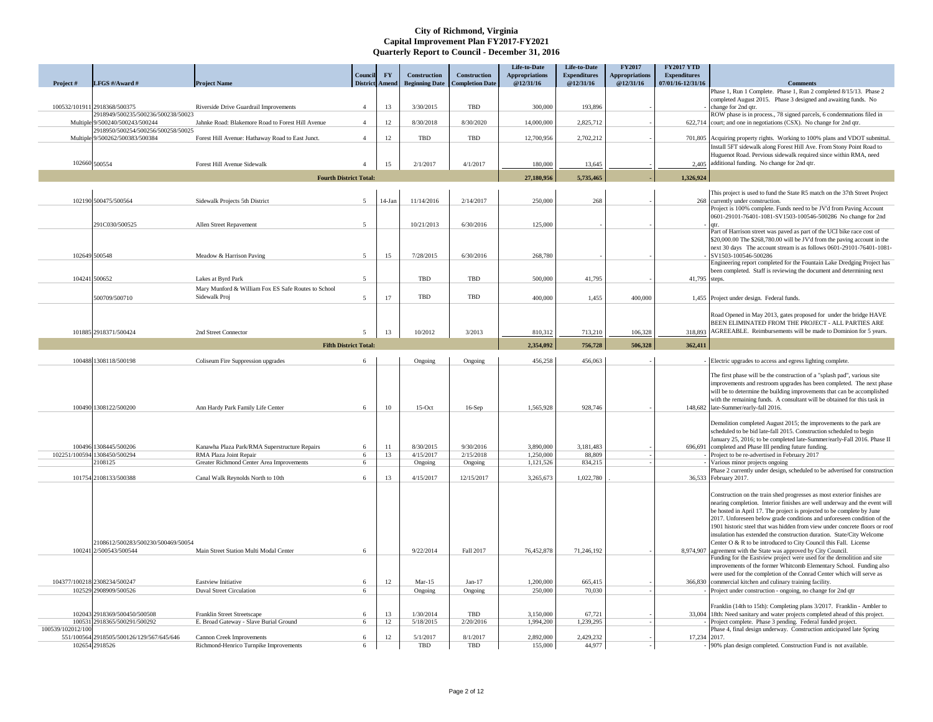|                   |                                                                       |                                                                         |                                         |           |                                                              |                        | Life-to-Date                       | <b>Life-to-Date</b>              | <b>FY2017</b>                      | <b>FY2017 YTD</b>                        |                                                                                                                                                            |
|-------------------|-----------------------------------------------------------------------|-------------------------------------------------------------------------|-----------------------------------------|-----------|--------------------------------------------------------------|------------------------|------------------------------------|----------------------------------|------------------------------------|------------------------------------------|------------------------------------------------------------------------------------------------------------------------------------------------------------|
| Project #         | LFGS #/Award #                                                        | <b>Project Name</b>                                                     | <b>Council</b><br><b>District Amend</b> | <b>FY</b> | <b>Construction</b><br><b>Beginning Date</b> Completion Date | <b>Construction</b>    | <b>Appropriations</b><br>@12/31/16 | <b>Expenditures</b><br>@12/31/16 | <b>Appropriations</b><br>@12/31/16 | <b>Expenditures</b><br>07/01/16-12/31/16 | <b>Comments</b>                                                                                                                                            |
|                   |                                                                       |                                                                         |                                         |           |                                                              |                        |                                    |                                  |                                    |                                          | Phase 1, Run 1 Complete. Phase 1, Run 2 completed 8/15/13. Phase 2                                                                                         |
|                   |                                                                       |                                                                         |                                         |           |                                                              |                        |                                    |                                  |                                    |                                          | completed August 2015. Phase 3 designed and awaiting funds. No                                                                                             |
|                   | 100532/101911 2918368/500375<br>2918949/500235/500236/500238/50023    | Riverside Drive Guardrail Improvements                                  |                                         | 13        | 3/30/2015                                                    | TBD                    | 300,000                            | 193,896                          |                                    |                                          | change for 2nd qtr.<br>ROW phase is in process., 78 signed parcels, 6 condemnations filed in                                                               |
|                   | Multiple 9/500240/500243/500244                                       | Jahnke Road: Blakemore Road to Forest Hill Avenue                       |                                         | 12        | 8/30/2018                                                    | 8/30/2020              | 14,000,000                         | 2,825,712                        |                                    |                                          | $622,714$ court; and one in negotiations (CSX). No change for 2nd qtr.                                                                                     |
|                   | 2918950/500254/500256/500258/50025<br>Multiple 9/500262/500383/500384 | Forest Hill Avenue: Hathaway Road to East Junct.                        |                                         | 12        | <b>TBD</b>                                                   | <b>TBD</b>             | 12,700,956                         | 2,702,212                        |                                    |                                          | 701,805 Acquiring property rights. Working to 100% plans and VDOT submittal.                                                                               |
|                   |                                                                       |                                                                         |                                         |           |                                                              |                        |                                    |                                  |                                    |                                          | Install 5FT sidewalk along Forest Hill Ave. From Stony Point Road to                                                                                       |
|                   |                                                                       |                                                                         |                                         |           |                                                              |                        |                                    |                                  |                                    |                                          | Huguenot Road. Pervious sidewalk required since within RMA, need                                                                                           |
|                   | 102660 500554                                                         | Forest Hill Avenue Sidewalk                                             |                                         | 15        | 2/1/2017                                                     | 4/1/2017               | 180,000                            | 13,645                           |                                    | 2,405                                    | additional funding. No change for 2nd qtr.                                                                                                                 |
|                   |                                                                       | <b>Fourth District Total:</b>                                           |                                         |           |                                                              |                        | 27,180,956                         | 5,735,465                        |                                    | 1,326,924                                |                                                                                                                                                            |
|                   |                                                                       |                                                                         |                                         |           |                                                              |                        |                                    |                                  |                                    |                                          | This project is used to fund the State R5 match on the 37th Street Project                                                                                 |
|                   | 102190 500475/500564                                                  | Sidewalk Projects 5th District                                          | 5                                       | $14-Jan$  | 11/14/2016                                                   | 2/14/2017              | 250,000                            | 268                              |                                    |                                          | 268 currently under construction.                                                                                                                          |
|                   |                                                                       |                                                                         |                                         |           |                                                              |                        |                                    |                                  |                                    |                                          | Project is 100% complete. Funds need to be JV'd from Paving Account<br>0601-29101-76401-1081-SV1503-100546-500286 No change for 2nd                        |
|                   | 291C030/500525                                                        | Allen Street Repavement                                                 | 5                                       |           | 10/21/2013                                                   | 6/30/2016              | 125,000                            |                                  |                                    |                                          |                                                                                                                                                            |
|                   |                                                                       |                                                                         |                                         |           |                                                              |                        |                                    |                                  |                                    |                                          | Part of Harrison street was paved as part of the UCI bike race cost of                                                                                     |
|                   |                                                                       |                                                                         |                                         |           |                                                              |                        |                                    |                                  |                                    |                                          | $\frac{1}{20,000.00}$ The \$268,780.00 will be JV'd from the paving account in the<br>next 30 days The account stream is as follows 0601-29101-76401-1081- |
|                   | 102649 500548                                                         | Meadow & Harrison Paving                                                |                                         | 15        | 7/28/2015                                                    | 6/30/2016              | 268,780                            |                                  |                                    |                                          | SV1503-100546-500286                                                                                                                                       |
|                   |                                                                       |                                                                         |                                         |           |                                                              |                        |                                    |                                  |                                    |                                          | Engineering report completed for the Fountain Lake Dredging Project has                                                                                    |
|                   | 104241 500652                                                         | Lakes at Byrd Park                                                      | 5                                       |           | <b>TBD</b>                                                   | <b>TBD</b>             | 500,000                            | 41,795                           |                                    | 41,795 steps.                            | been completed. Staff is reviewing the document and determining next                                                                                       |
|                   |                                                                       | Mary Munford & William Fox ES Safe Routes to School                     |                                         |           |                                                              |                        |                                    |                                  |                                    |                                          |                                                                                                                                                            |
|                   | 500709/500710                                                         | Sidewalk Proj                                                           | 5                                       | 17        | <b>TBD</b>                                                   | <b>TBD</b>             | 400,000                            | 1,455                            | 400,000                            |                                          | 1,455 Project under design. Federal funds.                                                                                                                 |
|                   |                                                                       |                                                                         |                                         |           |                                                              |                        |                                    |                                  |                                    |                                          |                                                                                                                                                            |
|                   |                                                                       |                                                                         |                                         |           |                                                              |                        |                                    |                                  |                                    |                                          | Road Opened in May 2013, gates proposed for under the bridge HAVE<br>BEEN ELIMINATED FROM THE PROJECT - ALL PARTIES ARE                                    |
|                   | 101885 2918371/500424                                                 | 2nd Street Connector                                                    |                                         | 13        | 10/2012                                                      | 3/2013                 | 810,312                            | 713,210                          | 106,328                            | 318,893                                  | AGREEABLE. Reimbursements will be made to Dominion for 5 years.                                                                                            |
|                   |                                                                       | <b>Fifth District Total:</b>                                            |                                         |           |                                                              |                        | 2,354,092                          | 756,728                          | 506,328                            | 362,411                                  |                                                                                                                                                            |
|                   |                                                                       |                                                                         |                                         |           |                                                              |                        |                                    |                                  |                                    |                                          |                                                                                                                                                            |
|                   | 100488 1308118/500198                                                 | Coliseum Fire Suppression upgrades                                      | 6                                       |           | Ongoing                                                      | Ongoing                | 456,258                            | 456,063                          |                                    |                                          | - Electric upgrades to access and egress lighting complete.                                                                                                |
|                   |                                                                       |                                                                         |                                         |           |                                                              |                        |                                    |                                  |                                    |                                          | The first phase will be the construction of a "splash pad", various site                                                                                   |
|                   |                                                                       |                                                                         |                                         |           |                                                              |                        |                                    |                                  |                                    |                                          | improvements and restroom upgrades has been completed. The next phase                                                                                      |
|                   |                                                                       |                                                                         |                                         |           |                                                              |                        |                                    |                                  |                                    |                                          | will be to determine the building improvements that can be accomplished<br>with the remaining funds. A consultant will be obtained for this task in        |
|                   | 100490 1308122/500200                                                 | Ann Hardy Park Family Life Center                                       | 6                                       | 10        | $15$ -Oct                                                    | $16-Sep$               | 1,565,928                          | 928,746                          |                                    |                                          | 148,682 late-Summer/early-fall 2016.                                                                                                                       |
|                   |                                                                       |                                                                         |                                         |           |                                                              |                        |                                    |                                  |                                    |                                          |                                                                                                                                                            |
|                   |                                                                       |                                                                         |                                         |           |                                                              |                        |                                    |                                  |                                    |                                          | Demolition completed August 2015; the improvements to the park are<br>scheduled to be bid late-fall 2015. Construction scheduled to begin                  |
|                   |                                                                       |                                                                         |                                         |           |                                                              |                        |                                    |                                  |                                    |                                          | January 25, 2016; to be completed late-Summer/early-Fall 2016. Phase II                                                                                    |
|                   | 100496 1308445/500206<br>102251/100594 1308450/500294                 | Kanawha Plaza Park/RMA Superstructure Repairs<br>RMA Plaza Joint Repair | 6                                       | 11<br>13  | 8/30/2015<br>4/15/2017                                       | 9/30/2016<br>2/15/2018 | 3,890,000<br>1,250,000             | 3,181,483<br>88,809              |                                    |                                          | 696,691 completed and Phase III pending future funding.<br>Project to be re-advertised in February 2017                                                    |
|                   | 2108125                                                               | Greater Richmond Center Area Improvements                               | 6<br>6                                  |           | Ongoing                                                      | Ongoing                | 1,121,526                          | 834,215                          |                                    |                                          | Various minor projects ongoing                                                                                                                             |
|                   |                                                                       |                                                                         |                                         |           |                                                              |                        |                                    |                                  |                                    |                                          | Phase 2 currently under design, scheduled to be advertised for construction                                                                                |
|                   | 101754 2108133/500388                                                 | Canal Walk Reynolds North to 10th                                       | 6                                       | 13        | 4/15/2017                                                    | 12/15/2017             | 3,265,673                          | 1,022,780                        |                                    |                                          | 36,533 February 2017.                                                                                                                                      |
|                   |                                                                       |                                                                         |                                         |           |                                                              |                        |                                    |                                  |                                    |                                          | Construction on the train shed progresses as most exterior finishes are                                                                                    |
|                   |                                                                       |                                                                         |                                         |           |                                                              |                        |                                    |                                  |                                    |                                          | nearing completion. Interior finishes are well underway and the event will                                                                                 |
|                   |                                                                       |                                                                         |                                         |           |                                                              |                        |                                    |                                  |                                    |                                          | be hosted in April 17. The project is projected to be complete by June<br>2017. Unforeseen below grade conditions and unforeseen condition of the          |
|                   |                                                                       |                                                                         |                                         |           |                                                              |                        |                                    |                                  |                                    |                                          | 1901 historic steel that was hidden from view under concrete floors or roof                                                                                |
|                   |                                                                       |                                                                         |                                         |           |                                                              |                        |                                    |                                  |                                    |                                          | insulation has extended the construction duration. State/City Welcome                                                                                      |
|                   | 2108612/500283/500230/500469/50054<br>100241 2/500543/500544          | Main Street Station Multi Modal Center                                  | 6                                       |           | 9/22/2014                                                    | Fall 2017              | 76,452,878                         | 71,246,192                       |                                    | 8,974,907                                | Center O & R to be introduced to City Council this Fall. License<br>agreement with the State was approved by City Council.                                 |
|                   |                                                                       |                                                                         |                                         |           |                                                              |                        |                                    |                                  |                                    |                                          | Funding for the Eastview project were used for the demolition and site                                                                                     |
|                   |                                                                       |                                                                         |                                         |           |                                                              |                        |                                    |                                  |                                    |                                          | improvements of the former Whitcomb Elementary School. Funding also                                                                                        |
|                   | 104377/100218 2308234/500247                                          | <b>Eastview Initiative</b>                                              | 6                                       | 12        | $Mar-15$                                                     | $Jan-17$               | 1,200,000                          | 665,415                          |                                    |                                          | were used for the completion of the Conrad Center which will serve as<br>366,830 commercial kitchen and culinary training facility.                        |
|                   | 102529 2908909/500526                                                 | <b>Duval Street Circulation</b>                                         | 6                                       |           | Ongoing                                                      | Ongoing                | 250,000                            | 70,030                           |                                    |                                          | Project under construction - ongoing, no change for 2nd qtr                                                                                                |
|                   |                                                                       |                                                                         |                                         |           |                                                              |                        |                                    |                                  |                                    |                                          |                                                                                                                                                            |
|                   | 102043 2918369/500450/500508                                          | Franklin Street Streetscape                                             | 6                                       | 13        | 1/30/2014                                                    | TBD                    | 3,150,000                          | 67,721                           |                                    |                                          | Franklin (14th to 15th): Completing plans 3/2017. Franklin - Ambler to<br>33,004 18th: Need sanitary and water projects completed ahead of this project.   |
|                   | 100531 2918365/500291/500292                                          | E. Broad Gateway - Slave Burial Ground                                  |                                         | 12        | 5/18/2015                                                    | 2/20/2016              | 1,994,200                          | 1,239,295                        |                                    |                                          | Project complete. Phase 3 pending. Federal funded project.                                                                                                 |
| 100539/102012/100 | 551/100564 2918505/500126/129/567/645/646                             | <b>Cannon Creek Improvements</b>                                        | 6                                       | 12        | 5/1/2017                                                     | 8/1/2017               | 2,892,000                          | 2,429,232                        |                                    | 17,234 2017.                             | Phase 4, final design underway. Construction anticipated late Spring                                                                                       |
|                   | 102654 2918526                                                        | Richmond-Henrico Turnpike Improvements                                  | 6                                       |           | TBD                                                          | TBD                    | 155,000                            | 44,977                           |                                    |                                          | - 90% plan design completed. Construction Fund is not available.                                                                                           |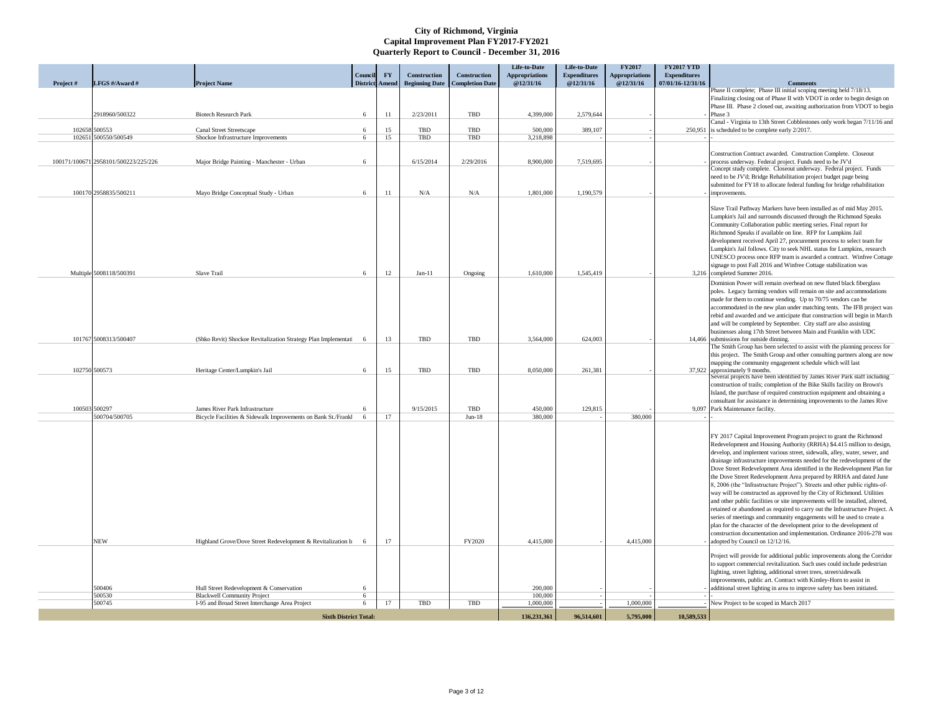|           |                                       |                                                                                                         | Council FY |          | <b>Construction</b>                  | <b>Construction</b>      | Life-to-Date<br><b>Appropriations</b> | Life-to-Date<br><b>Expenditures</b> | <b>FY2017</b><br><b>Appropriations</b> | <b>FY2017 YTD</b><br><b>Expenditures</b> |                                                                                                                                                        |
|-----------|---------------------------------------|---------------------------------------------------------------------------------------------------------|------------|----------|--------------------------------------|--------------------------|---------------------------------------|-------------------------------------|----------------------------------------|------------------------------------------|--------------------------------------------------------------------------------------------------------------------------------------------------------|
| Project # | LFGS #/Award #                        | <b>Project Name</b>                                                                                     |            |          | <b>District Amend</b> Beginning Date | <b>Completion Date</b>   | @12/31/16                             | @12/31/16                           | @12/31/16                              | 07/01/16-12/31/16                        | <b>Comments</b><br>Phase II complete; Phase III initial scoping meeting held 7/18/13.                                                                  |
|           |                                       |                                                                                                         |            |          |                                      |                          |                                       |                                     |                                        |                                          | Finalizing closing out of Phase II with VDOT in order to begin design on                                                                               |
|           |                                       |                                                                                                         |            |          |                                      |                          |                                       |                                     |                                        |                                          | Phase III. Phase 2 closed out, awaiting authorization from VDOT to begin                                                                               |
|           | 2918960/500322                        | <b>Biotech Research Park</b>                                                                            | 6          | 11       | 2/23/2011                            | <b>TBD</b>               | 4,399,000                             | 2,579,644                           |                                        |                                          | Phase 3                                                                                                                                                |
|           |                                       |                                                                                                         |            |          |                                      |                          |                                       |                                     |                                        |                                          | Canal - Virginia to 13th Street Cobblestones only work began 7/11/16 and                                                                               |
|           | 102658 500553<br>102651 500550/500549 | <b>Canal Street Streetscape</b><br>Shockoe Infrastructure Improvements                                  | 6<br>6     | 15<br>15 | <b>TBD</b><br><b>TBD</b>             | <b>TBD</b><br><b>TBD</b> | 500,000<br>3,218,898                  | 389,107                             |                                        | 250,951                                  | is scheduled to be complete early 2/2017.                                                                                                              |
|           |                                       |                                                                                                         |            |          |                                      |                          |                                       |                                     |                                        |                                          |                                                                                                                                                        |
|           |                                       |                                                                                                         |            |          |                                      |                          |                                       |                                     |                                        |                                          | Construction Contract awarded. Construction Complete. Closeout                                                                                         |
|           | 100171/100671 2958101/500223/225/226  | Major Bridge Painting - Manchester - Urban                                                              | 6          |          | 6/15/2014                            | 2/29/2016                | 8,900,000                             | 7,519,695                           |                                        |                                          | process underway. Federal project. Funds need to be JV'd                                                                                               |
|           |                                       |                                                                                                         |            |          |                                      |                          |                                       |                                     |                                        |                                          | Concept study complete. Closeout underway. Federal project. Funds<br>need to be JV'd; Bridge Rehabilitation project budget page being                  |
|           |                                       |                                                                                                         |            |          |                                      |                          |                                       |                                     |                                        |                                          | submitted for FY18 to allocate federal funding for bridge rehabilitation                                                                               |
|           | 100170 2958835/500211                 | Mayo Bridge Conceptual Study - Urban                                                                    | 6          | 11       | N/A                                  | N/A                      | 1,801,000                             | 1,190,579                           |                                        |                                          | improvements.                                                                                                                                          |
|           |                                       |                                                                                                         |            |          |                                      |                          |                                       |                                     |                                        |                                          |                                                                                                                                                        |
|           |                                       |                                                                                                         |            |          |                                      |                          |                                       |                                     |                                        |                                          | Slave Trail Pathway Markers have been installed as of mid May 2015.                                                                                    |
|           |                                       |                                                                                                         |            |          |                                      |                          |                                       |                                     |                                        |                                          | Lumpkin's Jail and surrounds discussed through the Richmond Speaks                                                                                     |
|           |                                       |                                                                                                         |            |          |                                      |                          |                                       |                                     |                                        |                                          | Community Collaboration public meeting series. Final report for<br>Richmond Speaks if available on line. RFP for Lumpkins Jail                         |
|           |                                       |                                                                                                         |            |          |                                      |                          |                                       |                                     |                                        |                                          | development received April 27, procurement process to select team for                                                                                  |
|           |                                       |                                                                                                         |            |          |                                      |                          |                                       |                                     |                                        |                                          | Lumpkin's Jail follows. City to seek NHL status for Lumpkins, research                                                                                 |
|           |                                       |                                                                                                         |            |          |                                      |                          |                                       |                                     |                                        |                                          | UNESCO process once RFP team is awarded a contract. Winfree Cottage                                                                                    |
|           |                                       |                                                                                                         |            |          |                                      |                          |                                       |                                     |                                        |                                          | signage to post Fall 2016 and Winfree Cottage stabilization was                                                                                        |
|           | Multiple 5008118/500391               | Slave Trail                                                                                             | 6          | 12       | $Jan-11$                             | Ongoing                  | 1,610,000                             | 1,545,419                           |                                        |                                          | 3,216 completed Summer 2016.                                                                                                                           |
|           |                                       |                                                                                                         |            |          |                                      |                          |                                       |                                     |                                        |                                          | Dominion Power will remain overhead on new fluted black fiberglass                                                                                     |
|           |                                       |                                                                                                         |            |          |                                      |                          |                                       |                                     |                                        |                                          | poles. Legacy farming vendors will remain on site and accommodations                                                                                   |
|           |                                       |                                                                                                         |            |          |                                      |                          |                                       |                                     |                                        |                                          | made for them to continue vending. Up to 70/75 vendors can be                                                                                          |
|           |                                       |                                                                                                         |            |          |                                      |                          |                                       |                                     |                                        |                                          | accommodated in the new plan under matching tents. The IFB project was<br>rebid and awarded and we anticipate that construction will begin in March    |
|           |                                       |                                                                                                         |            |          |                                      |                          |                                       |                                     |                                        |                                          | and will be completed by September. City staff are also assisting                                                                                      |
|           |                                       |                                                                                                         |            |          |                                      |                          |                                       |                                     |                                        |                                          | businesses along 17th Street between Main and Franklin with UDC                                                                                        |
|           | 101767 5008313/500407                 | (Shko Revit) Shockoe Revitalization Strategy Plan Implementati                                          |            | 13       | <b>TBD</b>                           | <b>TBD</b>               | 3,564,000                             | 624,003                             |                                        |                                          | 14,466 submissions for outside dinning.                                                                                                                |
|           |                                       |                                                                                                         |            |          |                                      |                          |                                       |                                     |                                        |                                          | The Smith Group has been selected to assist with the planning process for                                                                              |
|           |                                       |                                                                                                         |            |          |                                      |                          |                                       |                                     |                                        |                                          | this project. The Smith Group and other consulting partners along are now                                                                              |
|           | 102750 500573                         | Heritage Center/Lumpkin's Jail                                                                          | 6          | 15       | TBD                                  | <b>TBD</b>               | 8,050,000                             | 261,381                             |                                        |                                          | mapping the community engagement schedule which will last<br>37,922 approximately 9 months.                                                            |
|           |                                       |                                                                                                         |            |          |                                      |                          |                                       |                                     |                                        |                                          | Several projects have been identified by James River Park staff including                                                                              |
|           |                                       |                                                                                                         |            |          |                                      |                          |                                       |                                     |                                        |                                          | construction of trails; completion of the Bike Skills facility on Brown's                                                                              |
|           |                                       |                                                                                                         |            |          |                                      |                          |                                       |                                     |                                        |                                          | Island, the purchase of required construction equipment and obtaining a                                                                                |
|           |                                       |                                                                                                         |            |          |                                      |                          |                                       |                                     |                                        |                                          | consultant for assistance in determining improvements to the James Rive                                                                                |
|           | 100503 500297<br>500704/500705        | <b>James River Park Infrastructure</b><br>Bicycle Facilities & Sidewalk Improvements on Bank St./Frankl |            | 17       | 9/15/2015                            | <b>TBD</b><br>$Jun-18$   | 450,000<br>380,000                    | 129,815                             | 380,000                                |                                          | 9,097 Park Maintenance facility.                                                                                                                       |
|           |                                       |                                                                                                         |            |          |                                      |                          |                                       |                                     |                                        |                                          |                                                                                                                                                        |
|           |                                       |                                                                                                         |            |          |                                      |                          |                                       |                                     |                                        |                                          |                                                                                                                                                        |
|           |                                       |                                                                                                         |            |          |                                      |                          |                                       |                                     |                                        |                                          | FY 2017 Capital Improvement Program project to grant the Richmond<br>Redevelopment and Housing Authority (RRHA) \$4.415 million to design,             |
|           |                                       |                                                                                                         |            |          |                                      |                          |                                       |                                     |                                        |                                          | develop, and implement various street, sidewalk, alley, water, sewer, and                                                                              |
|           |                                       |                                                                                                         |            |          |                                      |                          |                                       |                                     |                                        |                                          | drainage infrastructure improvements needed for the redevelopment of the                                                                               |
|           |                                       |                                                                                                         |            |          |                                      |                          |                                       |                                     |                                        |                                          | Dove Street Redevelopment Area identified in the Redevelopment Plan for                                                                                |
|           |                                       |                                                                                                         |            |          |                                      |                          |                                       |                                     |                                        |                                          | the Dove Street Redevelopment Area prepared by RRHA and dated June                                                                                     |
|           |                                       |                                                                                                         |            |          |                                      |                          |                                       |                                     |                                        |                                          | 8, 2006 (the "Infrastructure Project"). Streets and other public rights-of-                                                                            |
|           |                                       |                                                                                                         |            |          |                                      |                          |                                       |                                     |                                        |                                          | way will be constructed as approved by the City of Richmond. Utilities                                                                                 |
|           |                                       |                                                                                                         |            |          |                                      |                          |                                       |                                     |                                        |                                          | and other public facilities or site improvements will be installed, altered,                                                                           |
|           |                                       |                                                                                                         |            |          |                                      |                          |                                       |                                     |                                        |                                          | retained or abandoned as required to carry out the Infrastructure Project. A<br>series of meetings and community engagements will be used to create a  |
|           |                                       |                                                                                                         |            |          |                                      |                          |                                       |                                     |                                        |                                          | plan for the character of the development prior to the development of                                                                                  |
|           |                                       |                                                                                                         |            |          |                                      |                          |                                       |                                     |                                        |                                          | construction documentation and implementation. Ordinance 2016-278 was                                                                                  |
|           | <b>NEW</b>                            | Highland Grove/Dove Street Redevelopment & Revitalization In                                            |            | 17       |                                      | FY2020                   | 4,415,000                             |                                     | 4,415,000                              |                                          | adopted by Council on 12/12/16.                                                                                                                        |
|           |                                       |                                                                                                         |            |          |                                      |                          |                                       |                                     |                                        |                                          |                                                                                                                                                        |
|           |                                       |                                                                                                         |            |          |                                      |                          |                                       |                                     |                                        |                                          | Project will provide for additional public improvements along the Corridor<br>to support commercial revitalization. Such uses could include pedestrian |
|           |                                       |                                                                                                         |            |          |                                      |                          |                                       |                                     |                                        |                                          | lighting, street lighting, additional street trees, street/sidewalk                                                                                    |
|           |                                       |                                                                                                         |            |          |                                      |                          |                                       |                                     |                                        |                                          | improvements, public art. Contract with Kimley-Horn to assist in                                                                                       |
|           | 500406                                | Hull Street Redevelopment & Conservation                                                                | 6          |          |                                      |                          | 200,000                               |                                     |                                        |                                          | additional street lighting in area to improve safety has been initiated.                                                                               |
|           | 500530                                | <b>Blackwell Community Project</b>                                                                      | 6          |          |                                      |                          | 100,000                               |                                     |                                        |                                          |                                                                                                                                                        |
|           | 500745                                | I-95 and Broad Street Interchange Area Project                                                          | 6          | 17       | <b>TBD</b>                           | <b>TBD</b>               | 1,000,000                             |                                     | 1,000,000                              |                                          | New Project to be scoped in March 2017                                                                                                                 |
|           |                                       | <b>Sixth District Total:</b>                                                                            |            |          |                                      |                          | 136,231,361                           | 96,514,601                          | 5,795,000                              | 10,589,533                               |                                                                                                                                                        |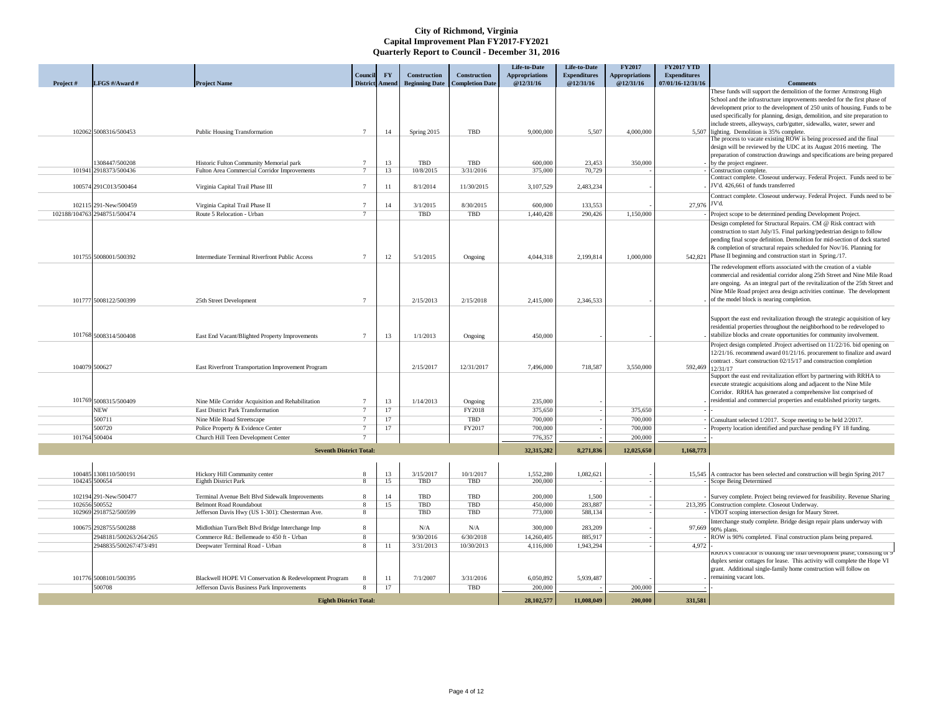|               |                                        |                                                              |                       |           |                         |                                       | Life-to-Date          | <b>Life-to-Date</b> | <b>FY2017</b>         | <b>FY2017 YTD</b>   |                                                                                                                                                        |
|---------------|----------------------------------------|--------------------------------------------------------------|-----------------------|-----------|-------------------------|---------------------------------------|-----------------------|---------------------|-----------------------|---------------------|--------------------------------------------------------------------------------------------------------------------------------------------------------|
|               |                                        |                                                              | Council               | <b>FY</b> | <b>Construction</b>     | <b>Construction</b>                   | <b>Appropriations</b> | <b>Expenditures</b> | <b>Appropriations</b> | <b>Expenditures</b> |                                                                                                                                                        |
| Project #     | LFGS #/Award #                         | <b>Project Name</b>                                          | <b>District Amend</b> |           |                         | <b>Beginning Date</b> Completion Date | @12/31/16             | @12/31/16           | @12/31/16             | 07/01/16-12/31/16   | <b>Comments</b>                                                                                                                                        |
|               |                                        |                                                              |                       |           |                         |                                       |                       |                     |                       |                     | These funds will support the demolition of the former Armstrong High<br>School and the infrastructure improvements needed for the first phase of       |
|               |                                        |                                                              |                       |           |                         |                                       |                       |                     |                       |                     | development prior to the development of 250 units of housing. Funds to be                                                                              |
|               |                                        |                                                              |                       |           |                         |                                       |                       |                     |                       |                     | used specifically for planning, design, demolition, and site preparation to                                                                            |
|               |                                        |                                                              |                       |           |                         |                                       |                       |                     |                       |                     | include streets, alleyways, curb/gutter, sidewalks, water, sewer and                                                                                   |
|               | 102062 5008316/500453                  | <b>Public Housing Transformation</b>                         |                       | 14        | Spring 2015             | <b>TBD</b>                            | 9,000,000             | 5,507               | 4,000,000             |                     | 5,507 lighting. Demolition is 35% complete.                                                                                                            |
|               |                                        |                                                              |                       |           |                         |                                       |                       |                     |                       |                     | The process to vacate existing ROW is being processed and the final                                                                                    |
|               |                                        |                                                              |                       |           |                         |                                       |                       |                     |                       |                     | design will be reviewed by the UDC at its August 2016 meeting. The<br>preparation of construction drawings and specifications are being prepared       |
|               | 1308447/500208                         | Historic Fulton Community Memorial park                      |                       | 13        | <b>TBD</b>              | <b>TBD</b>                            | 600,000               | 23,453              | 350,000               |                     | by the project engineer.                                                                                                                               |
|               | 101941 2918373/500436                  | Fulton Area Commercial Corridor Improvements                 | $\tau$                | 13        | 10/8/2015               | 3/31/2016                             | 375,000               | 70,729              |                       |                     | Construction complete.                                                                                                                                 |
|               |                                        |                                                              |                       |           |                         |                                       |                       |                     |                       |                     | Contract complete. Closeout underway. Federal Project. Funds need to be                                                                                |
|               | 100574 291C013/500464                  | Virginia Capital Trail Phase III                             |                       | 11        | 8/1/2014                | 11/30/2015                            | 3,107,529             | 2,483,234           |                       |                     | JV'd. 426,661 of funds transferred                                                                                                                     |
|               |                                        |                                                              |                       |           |                         |                                       |                       |                     |                       |                     | Contract complete. Closeout underway. Federal Project. Funds need to be                                                                                |
|               | 102115 291-New/500459                  | Virginia Capital Trail Phase II                              |                       | 14        | 3/1/2015                | 8/30/2015                             | 600,000               | 133,553             |                       | $27,976$ JV'd.      |                                                                                                                                                        |
|               | 102188/104763 2948751/500474           | Route 5 Relocation - Urban                                   | $\tau$                |           | <b>TBD</b>              | <b>TBD</b>                            | 1,440,428             | 290,426             | 1,150,000             |                     | Project scope to be determined pending Development Project.                                                                                            |
|               |                                        |                                                              |                       |           |                         |                                       |                       |                     |                       |                     | Design completed for Structural Repairs. CM @ Risk contract with                                                                                       |
|               |                                        |                                                              |                       |           |                         |                                       |                       |                     |                       |                     | construction to start July/15. Final parking/pedestrian design to follow                                                                               |
|               |                                        |                                                              |                       |           |                         |                                       |                       |                     |                       |                     | pending final scope definition. Demolition for mid-section of dock started<br>$\&$ completion of structural repairs scheduled for Nov/16. Planning for |
|               | 101755 5008001/500392                  | Intermediate Terminal Riverfront Public Access               |                       | 12        | 5/1/2015                | Ongoing                               | 4,044,318             | 2,199,814           | 1,000,000             |                     | 542.821 Phase II beginning and construction start in Spring./17.                                                                                       |
|               |                                        |                                                              |                       |           |                         |                                       |                       |                     |                       |                     | The redevelopment efforts associated with the creation of a viable                                                                                     |
|               |                                        |                                                              |                       |           |                         |                                       |                       |                     |                       |                     | commercial and residential corridor along 25th Street and Nine Mile Road                                                                               |
|               |                                        |                                                              |                       |           |                         |                                       |                       |                     |                       |                     | are ongoing. As an integral part of the revitalization of the 25th Street and                                                                          |
|               |                                        |                                                              |                       |           |                         |                                       |                       |                     |                       |                     | Nine Mile Road project area design activities continue. The development                                                                                |
|               | 101777 5008122/500399                  | 25th Street Development                                      |                       |           | 2/15/2013               | 2/15/2018                             | 2,415,000             | 2,346,533           |                       |                     | of the model block is nearing completion.                                                                                                              |
|               |                                        |                                                              |                       |           |                         |                                       |                       |                     |                       |                     |                                                                                                                                                        |
|               |                                        |                                                              |                       |           |                         |                                       |                       |                     |                       |                     | Support the east end revitalization through the strategic acquisition of key                                                                           |
|               |                                        |                                                              |                       |           |                         |                                       |                       |                     |                       |                     | residential properties throughout the neighborhood to be redeveloped to                                                                                |
|               | 101768 5008314/500408                  | East End Vacant/Blighted Property Improvements               |                       | 13        | 1/1/2013                | Ongoing                               | 450,000               |                     |                       |                     | stabilize blocks and create opportunities for community involvement.                                                                                   |
|               |                                        |                                                              |                       |           |                         |                                       |                       |                     |                       |                     | Project design completed .Project advertised on 11/22/16. bid opening on                                                                               |
|               |                                        |                                                              |                       |           |                         |                                       |                       |                     |                       |                     | 12/21/16. recommend award 01/21/16. procurement to finalize and award                                                                                  |
| 104079 500627 |                                        | East Riverfront Transportation Improvement Program           |                       |           | 2/15/2017               | 12/31/2017                            | 7,496,000             | 718,587             | 3,550,000             |                     | contract. Start construction 02/15/17 and construction completion<br>592,469 12/31/17                                                                  |
|               |                                        |                                                              |                       |           |                         |                                       |                       |                     |                       |                     | Support the east end revitalization effort by partnering with RRHA to                                                                                  |
|               |                                        |                                                              |                       |           |                         |                                       |                       |                     |                       |                     | execute strategic acquisitions along and adjacent to the Nine Mile                                                                                     |
|               |                                        |                                                              |                       |           |                         |                                       |                       |                     |                       |                     | Corridor. RRHA has generated a comprehensive list comprised of                                                                                         |
|               | 101769 5008315/500409                  | Nine Mile Corridor Acquisition and Rehabilitation            |                       | 13        | 1/14/2013               | Ongoing                               | 235,000               |                     |                       |                     | residential and commercial properties and established priority targets.                                                                                |
|               | <b>NEW</b>                             | <b>East District Park Transformation</b>                     | $7\phantom{.0}$       | 17        |                         | FY2018                                | 375,650               |                     | 375,650               |                     |                                                                                                                                                        |
|               | 500711                                 | Nine Mile Road Streetscape                                   | $7\phantom{.0}$       | 17        |                         | <b>TBD</b>                            | 700,000               |                     | 700,000               |                     | Consultant selected 1/2017. Scope meeting to be held 2/2017.                                                                                           |
|               | 500720                                 | Police Property & Evidence Center                            | $\overline{7}$        | 17        |                         | FY2017                                | 700,000               |                     | 700,000               |                     | Property location identified and purchase pending FY 18 funding.                                                                                       |
|               | 101764 500404                          | Church Hill Teen Development Center                          | $\tau$                |           |                         |                                       | 776,357               |                     | 200,000               |                     |                                                                                                                                                        |
|               |                                        | <b>Seventh District Total:</b>                               |                       |           |                         |                                       | 32,315,282            | 8,271,836           | 12,025,650            | 1,168,773           |                                                                                                                                                        |
|               |                                        |                                                              |                       |           |                         |                                       |                       |                     |                       |                     |                                                                                                                                                        |
|               |                                        |                                                              |                       |           |                         |                                       |                       |                     |                       |                     |                                                                                                                                                        |
|               | 100485 1308110/500191<br>104245 500654 | Hickory Hill Community center<br><b>Eighth District Park</b> | 8<br>8                | 13<br>15  | 3/15/2017<br><b>TBD</b> | 10/1/2017<br><b>TBD</b>               | 1,552,280<br>200,000  | 1,082,621           |                       |                     | 15,545 A contractor has been selected and construction will begin Spring 2017<br>Scope Being Determined                                                |
|               |                                        |                                                              |                       |           |                         |                                       |                       |                     |                       |                     |                                                                                                                                                        |
|               | 102194 291-New/500477                  | Terminal Avenue Belt Blvd Sidewalk Improvements              | 8                     | 14        | <b>TBD</b>              | <b>TBD</b>                            | 200,000               | 1,500               |                       |                     | Survey complete. Project being reviewed for feasibility. Revenue Sharing                                                                               |
|               | 102656 500552                          | <b>Belmont Road Roundabout</b>                               | 8                     | 15        | <b>TBD</b>              | <b>TBD</b>                            | 450,000               | 283,887             |                       |                     | 213,395 Construction complete. Closeout Underway.                                                                                                      |
|               | 102969 2918752/500599                  | Jefferson Davis Hwy (US 1-301): Chesterman Ave.              | 8                     |           | <b>TBD</b>              | <b>TBD</b>                            | 773,000               | 588,134             |                       |                     | VDOT scoping intersection design for Maury Street.                                                                                                     |
|               | 100675 2928755/500288                  | Midlothian Turn/Belt Blvd Bridge Interchange Imp             | 8                     |           | N/A                     | N/A                                   | 300,000               | 283,209             |                       |                     | Interchange study complete. Bridge design repair plans underway with                                                                                   |
|               | 2948181/500263/264/265                 | Commerce Rd.: Bellemeade to 450 ft - Urban                   | 8                     |           | 9/30/2016               | 6/30/2018                             | 14,260,405            | 885,917             |                       |                     | 97,669 90% plans.<br>ROW is 90% completed. Final construction plans being prepared.                                                                    |
|               | 2948835/500267/473/491                 | Deepwater Terminal Road - Urban                              | 8                     | 11        | 3/31/2013               | 10/30/2013                            | 4,116,000             | 1,943,294           |                       | 4,972               |                                                                                                                                                        |
|               |                                        |                                                              |                       |           |                         |                                       |                       |                     |                       |                     | RRHA's contractor is building the final development phase, consisting of 9                                                                             |
|               |                                        |                                                              |                       |           |                         |                                       |                       |                     |                       |                     | duplex senior cottages for lease. This activity will complete the Hope VI                                                                              |
|               |                                        |                                                              |                       |           |                         |                                       |                       |                     |                       |                     | grant. Additional single-family home construction will follow on                                                                                       |
|               | 101776 5008101/500395                  | Blackwell HOPE VI Conservation & Redevelopment Program       | 8                     | 11        | 7/1/2007                | 3/31/2016                             | 6,050,892             | 5,939,487           |                       |                     | remaining vacant lots.                                                                                                                                 |
|               | 500708                                 | Jefferson Davis Business Park Improvements                   | 8                     | 17        |                         | <b>TBD</b>                            | 200,000               |                     | 200,000               |                     |                                                                                                                                                        |
|               |                                        | <b>Eighth District Total:</b>                                |                       |           |                         |                                       | 28, 102, 577          | 11,008,049          | 200,000               | 331,581             |                                                                                                                                                        |
|               |                                        |                                                              |                       |           |                         |                                       |                       |                     |                       |                     |                                                                                                                                                        |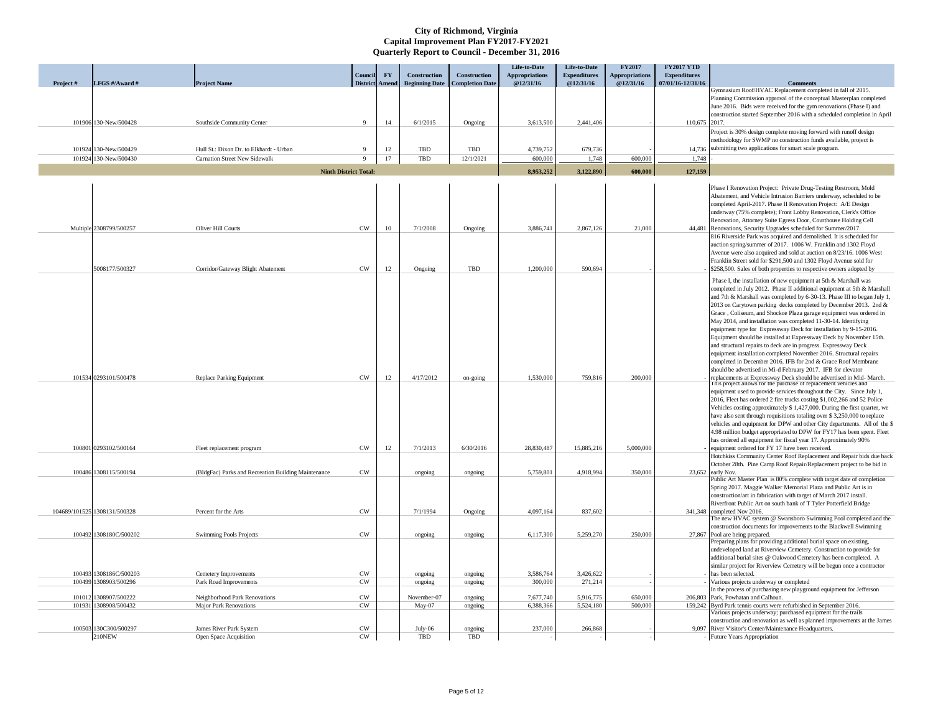|           |                                                  |                                                               | <b>Council</b>         | <b>FY</b> | <b>Construction</b>                                  | <b>Construction</b>   | Life-to-Date<br><b>Appropriations</b> | Life-to-Date<br><b>Expenditures</b> | <b>FY2017</b><br><b>Appropriations</b> | <b>FY2017 YTD</b><br><b>Expenditures</b> |                                                                                                                                                                                                                                                                                                                                                                                                                                                                                                                                                                                                                                                                                                                                                                                                                                                                                                                                                                                                                                                                                                                                                                                                                                                                                                                                                                                                                                                                                                                                                                                            |
|-----------|--------------------------------------------------|---------------------------------------------------------------|------------------------|-----------|------------------------------------------------------|-----------------------|---------------------------------------|-------------------------------------|----------------------------------------|------------------------------------------|--------------------------------------------------------------------------------------------------------------------------------------------------------------------------------------------------------------------------------------------------------------------------------------------------------------------------------------------------------------------------------------------------------------------------------------------------------------------------------------------------------------------------------------------------------------------------------------------------------------------------------------------------------------------------------------------------------------------------------------------------------------------------------------------------------------------------------------------------------------------------------------------------------------------------------------------------------------------------------------------------------------------------------------------------------------------------------------------------------------------------------------------------------------------------------------------------------------------------------------------------------------------------------------------------------------------------------------------------------------------------------------------------------------------------------------------------------------------------------------------------------------------------------------------------------------------------------------------|
| Project # | LFGS #/Award #                                   | <b>Project Name</b>                                           |                        |           | <b>District Amend Beginning Date Completion Date</b> |                       | @12/31/16                             | @12/31/16                           | @12/31/16                              | 07/01/16-12/31/16                        | <b>Comments</b>                                                                                                                                                                                                                                                                                                                                                                                                                                                                                                                                                                                                                                                                                                                                                                                                                                                                                                                                                                                                                                                                                                                                                                                                                                                                                                                                                                                                                                                                                                                                                                            |
|           | 101906 130-New/500428                            | Southside Community Center                                    |                        | 14        | 6/1/2015                                             | Ongoing               | 3,613,500                             | 2,441,406                           |                                        | 110,675 2017.                            | Gymnasium Roof/HVAC Replacement completed in fall of 2015.<br>Planning Commission approval of the conceptual Masterplan completed<br>June 2016. Bids were received for the gym renovations (Phase I) and<br>construction started September 2016 with a scheduled completion in April                                                                                                                                                                                                                                                                                                                                                                                                                                                                                                                                                                                                                                                                                                                                                                                                                                                                                                                                                                                                                                                                                                                                                                                                                                                                                                       |
|           |                                                  |                                                               |                        |           |                                                      |                       |                                       |                                     |                                        |                                          | Project is 30% design complete moving forward with runoff design                                                                                                                                                                                                                                                                                                                                                                                                                                                                                                                                                                                                                                                                                                                                                                                                                                                                                                                                                                                                                                                                                                                                                                                                                                                                                                                                                                                                                                                                                                                           |
|           |                                                  |                                                               |                        |           |                                                      |                       |                                       |                                     |                                        |                                          | methodology for SWMP no construction funds available, project is                                                                                                                                                                                                                                                                                                                                                                                                                                                                                                                                                                                                                                                                                                                                                                                                                                                                                                                                                                                                                                                                                                                                                                                                                                                                                                                                                                                                                                                                                                                           |
|           | 101924 130-New/500429                            | Hull St.: Dixon Dr. to Elkhardt - Urban                       | 9                      | 12        | <b>TBD</b>                                           | <b>TBD</b>            | 4,739,752                             | 679,736                             |                                        |                                          | 14,736 submitting two applications for smart scale program.                                                                                                                                                                                                                                                                                                                                                                                                                                                                                                                                                                                                                                                                                                                                                                                                                                                                                                                                                                                                                                                                                                                                                                                                                                                                                                                                                                                                                                                                                                                                |
|           | 101924 130-New/500430                            | <b>Carnation Street New Sidewalk</b>                          | -9                     | 17        | <b>TBD</b>                                           | 12/1/2021             | 600,000                               | 1,748                               | 600,000                                | 1,748                                    |                                                                                                                                                                                                                                                                                                                                                                                                                                                                                                                                                                                                                                                                                                                                                                                                                                                                                                                                                                                                                                                                                                                                                                                                                                                                                                                                                                                                                                                                                                                                                                                            |
|           |                                                  | <b>Ninth District Total:</b>                                  |                        |           |                                                      |                       | 8,953,252                             | 3,122,890                           | 600,000                                | 127,159                                  |                                                                                                                                                                                                                                                                                                                                                                                                                                                                                                                                                                                                                                                                                                                                                                                                                                                                                                                                                                                                                                                                                                                                                                                                                                                                                                                                                                                                                                                                                                                                                                                            |
|           | Multiple 2308799/500257<br>5008177/500327        | Oliver Hill Courts<br>Corridor/Gateway Blight Abatement       | <b>CW</b><br><b>CW</b> | 10<br>12  | 7/1/2008<br>Ongoing                                  | Ongoing<br><b>TBD</b> | 3,886,741<br>1,200,000                | 2,867,126<br>590,694                | 21,000                                 |                                          | Phase I Renovation Project: Private Drug-Testing Restroom, Mold<br>Abatement, and Vehicle Intrusion Barriers underway, scheduled to be<br>completed April-2017. Phase II Renovation Project: A/E Design<br>underway (75% complete); Front Lobby Renovation, Clerk's Office<br>Renovation, Attorney Suite Egress Door, Courthouse Holding Cell<br>44,481 Renovations, Security Upgrades scheduled for Summer/2017.<br>816 Riverside Park was acquired and demolished. It is scheduled for<br>auction spring/summer of 2017. 1006 W. Franklin and 1302 Floyd<br>Avenue were also acquired and sold at auction on 8/23/16. 1006 West<br>Franklin Street sold for \$291,500 and 1302 Floyd Avenue sold for<br>\$258,500. Sales of both properties to respective owners adopted by                                                                                                                                                                                                                                                                                                                                                                                                                                                                                                                                                                                                                                                                                                                                                                                                              |
|           |                                                  |                                                               |                        |           |                                                      |                       |                                       |                                     |                                        |                                          |                                                                                                                                                                                                                                                                                                                                                                                                                                                                                                                                                                                                                                                                                                                                                                                                                                                                                                                                                                                                                                                                                                                                                                                                                                                                                                                                                                                                                                                                                                                                                                                            |
|           | 101534 0293101/500478<br>100801 0293102/500164   | <b>Replace Parking Equipment</b><br>Fleet replacement program | CW<br><b>CW</b>        | 12<br>12  | 4/17/2012<br>7/1/2013                                | on-going<br>6/30/2016 | 1,530,000<br>28,830,487               | 759,816<br>15,885,216               | 200,000<br>5,000,000                   |                                          | Phase I, the installation of new equipment at 5th & Marshall was<br>completed in July 2012. Phase II additional equipment at 5th & Marshall<br>and 7th & Marshall was completed by 6-30-13. Phase III to began July 1,<br>2013 on Carytown parking decks completed by December 2013. 2nd &<br>Grace, Coliseum, and Shockoe Plaza garage equipment was ordered in<br>May 2014, and installation was completed 11-30-14. Identifying<br>equipment type for Expressway Deck for installation by 9-15-2016.<br>Equipment should be installed at Expressway Deck by November 15th.<br>and structural repairs to deck are in progress. Expressway Deck<br>equipment installation completed November 2016. Structural repairs<br>completed in December 2016. IFB for 2nd & Grace Roof Membrane<br>should be advertised in Mi-d February 2017. IFB for elevator<br>replacements at Expressway Deck should be advertised in Mid- March.<br>This project allows for the purchase of replacement vehicles and<br>equipment used to provide services throughout the City. Since July 1,<br>2016, Fleet has ordered 2 fire trucks costing \$1,002,266 and 52 Police<br>Vehicles costing approximately \$1,427,000. During the first quarter, we<br>have also sent through requisitions totaling over \$3,250,000 to replace<br>vehicles and equipment for DPW and other City departments. All of the \$<br>4.98 million budget appropriated to DPW for FY17 has been spent. Fleet<br>has ordered all equipment for fiscal year 17. Approximately 90%<br>equipment ordered for FY 17 have been received. |
|           |                                                  |                                                               |                        |           |                                                      |                       |                                       |                                     |                                        |                                          | Hotchkiss Community Center Roof Replacement and Repair bids due back                                                                                                                                                                                                                                                                                                                                                                                                                                                                                                                                                                                                                                                                                                                                                                                                                                                                                                                                                                                                                                                                                                                                                                                                                                                                                                                                                                                                                                                                                                                       |
|           | 100486 1308115/500194                            | (BldgFac) Parks and Recreation Building Maintenance           | <b>CW</b>              |           | ongoing                                              | ongoing               | 5,759,801                             | 4,918,994                           | 350,000                                |                                          | October 28th. Pine Camp Roof Repair/Replacement project to be bid in<br>23,652 early Nov.                                                                                                                                                                                                                                                                                                                                                                                                                                                                                                                                                                                                                                                                                                                                                                                                                                                                                                                                                                                                                                                                                                                                                                                                                                                                                                                                                                                                                                                                                                  |
|           | 104689/101525 1308131/500328                     | Percent for the Arts                                          | <b>CW</b>              |           | 7/1/1994                                             | Ongoing               | 4,097,164                             | 837,602                             |                                        |                                          | Public Art Master Plan is 80% complete with target date of completion<br>Spring 2017. Maggie Walker Memorial Plaza and Public Art is in<br>construction/art in fabrication with target of March 2017 install.<br>Riverfront Public Art on south bank of T Tyler Potterfield Bridge<br>341,348 completed Nov 2016.<br>The new HVAC system @ Swansboro Swimming Pool completed and the                                                                                                                                                                                                                                                                                                                                                                                                                                                                                                                                                                                                                                                                                                                                                                                                                                                                                                                                                                                                                                                                                                                                                                                                       |
|           |                                                  |                                                               |                        |           |                                                      |                       |                                       |                                     |                                        |                                          | construction documents for improvements to the Blackwell Swimming                                                                                                                                                                                                                                                                                                                                                                                                                                                                                                                                                                                                                                                                                                                                                                                                                                                                                                                                                                                                                                                                                                                                                                                                                                                                                                                                                                                                                                                                                                                          |
|           | 100492 1308180C/500202<br>100493 1308186C/500203 | <b>Swimming Pools Projects</b><br>Cemetery Improvements       | CW<br><b>CW</b>        |           | ongoing<br>ongoing                                   | ongoing<br>ongoing    | 6,117,300<br>3,586,764                | 5,259,270<br>3,426,622              | 250,000                                |                                          | 27,867 Pool are being prepared.<br>Preparing plans for providing additional burial space on existing,<br>undeveloped land at Riverview Cemetery. Construction to provide for<br>additional burial sites @ Oakwood Cemetery has been completed. A<br>similar project for Riverview Cemetery will be begun once a contractor<br>has been selected.                                                                                                                                                                                                                                                                                                                                                                                                                                                                                                                                                                                                                                                                                                                                                                                                                                                                                                                                                                                                                                                                                                                                                                                                                                           |
|           | 100499 1308903/500296                            | Park Road Improvements                                        | CW                     |           | ongoing                                              | ongoing               | 300,000                               | 271,214                             |                                        |                                          | Various projects underway or completed                                                                                                                                                                                                                                                                                                                                                                                                                                                                                                                                                                                                                                                                                                                                                                                                                                                                                                                                                                                                                                                                                                                                                                                                                                                                                                                                                                                                                                                                                                                                                     |
|           | 101012 1308907/500222                            | Neighborhood Park Renovations                                 | <b>CW</b>              |           | November-07                                          | ongoing               | 7,677,740                             | 5,916,775                           | 650,000                                |                                          | In the process of purchasing new playground equipment for Jefferson<br>206,803 Park, Powhatan and Calhoun.                                                                                                                                                                                                                                                                                                                                                                                                                                                                                                                                                                                                                                                                                                                                                                                                                                                                                                                                                                                                                                                                                                                                                                                                                                                                                                                                                                                                                                                                                 |
| 10193     | 1308908/500432                                   | <b>Major Park Renovations</b>                                 | CW                     |           | $May-07$                                             | ongoing               | 6,388,366                             | 5,524,180                           | 500,000                                |                                          | 159,242 Byrd Park tennis courts were refurbished in September 2016.                                                                                                                                                                                                                                                                                                                                                                                                                                                                                                                                                                                                                                                                                                                                                                                                                                                                                                                                                                                                                                                                                                                                                                                                                                                                                                                                                                                                                                                                                                                        |
|           |                                                  |                                                               |                        |           |                                                      |                       |                                       |                                     |                                        |                                          | Various projects underway; purchased equipment for the trails<br>construction and renovation as well as planned improvements at the James                                                                                                                                                                                                                                                                                                                                                                                                                                                                                                                                                                                                                                                                                                                                                                                                                                                                                                                                                                                                                                                                                                                                                                                                                                                                                                                                                                                                                                                  |
|           | 100503 130C300/500297                            | James River Park System                                       | <b>CW</b>              |           | July-06                                              | ongoing               | 237,000                               | 266,868                             |                                        |                                          | 9,097 River Visitor's Center/Maintenance Headquarters.                                                                                                                                                                                                                                                                                                                                                                                                                                                                                                                                                                                                                                                                                                                                                                                                                                                                                                                                                                                                                                                                                                                                                                                                                                                                                                                                                                                                                                                                                                                                     |
|           | <b>210NEW</b>                                    | <b>Open Space Acquisition</b>                                 | CW                     |           | TBD                                                  | TBD                   |                                       |                                     |                                        |                                          | - Future Years Appropriation                                                                                                                                                                                                                                                                                                                                                                                                                                                                                                                                                                                                                                                                                                                                                                                                                                                                                                                                                                                                                                                                                                                                                                                                                                                                                                                                                                                                                                                                                                                                                               |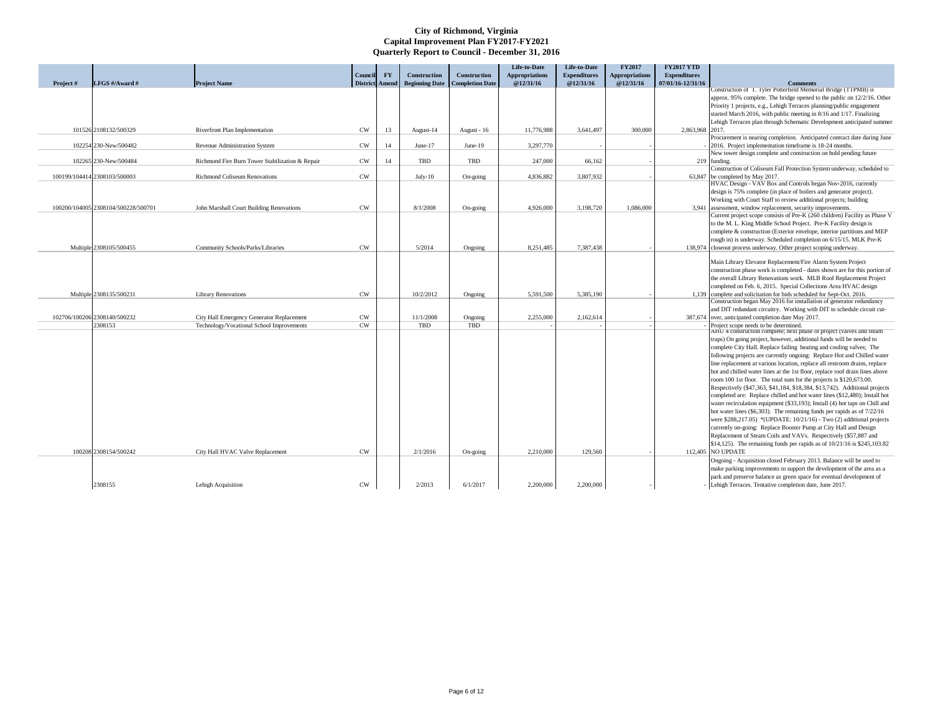|           |                                     |                                                 |                       |                        |                     |                                         | Life-to-Date          | Life-to-Date        | <b>FY2017</b>         | <b>FY2017 YTD</b>   |                                                                                                                                                          |
|-----------|-------------------------------------|-------------------------------------------------|-----------------------|------------------------|---------------------|-----------------------------------------|-----------------------|---------------------|-----------------------|---------------------|----------------------------------------------------------------------------------------------------------------------------------------------------------|
|           |                                     |                                                 | <b>Council</b>        | $\mathbf{F}\mathbf{Y}$ | <b>Construction</b> | <b>Construction</b>                     | <b>Appropriations</b> | <b>Expenditures</b> | <b>Appropriations</b> | <b>Expenditures</b> |                                                                                                                                                          |
| Project # | LFGS #/Award #                      | <b>Project Name</b>                             | <b>District Amend</b> |                        |                     | <b>Beginning Date</b>   Completion Date | @12/31/16             | @12/31/16           | @12/31/16             | 07/01/16-12/31/16   | <b>Comments</b>                                                                                                                                          |
|           |                                     |                                                 |                       |                        |                     |                                         |                       |                     |                       |                     | Construction of T. Tyler Potterfield Memorial Bridge (TTPMB) is                                                                                          |
|           |                                     |                                                 |                       |                        |                     |                                         |                       |                     |                       |                     | approx. 95% complete. The bridge opened to the public on 12/2/16. Other                                                                                  |
|           |                                     |                                                 |                       |                        |                     |                                         |                       |                     |                       |                     | Priority 1 projects, e.g., Lehigh Terraces planning/public engagement                                                                                    |
|           |                                     |                                                 |                       |                        |                     |                                         |                       |                     |                       |                     | started March 2016, with public meeting in 8/16 and 1/17. Finalizing                                                                                     |
|           |                                     |                                                 |                       |                        |                     |                                         |                       |                     |                       |                     | Lehigh Terraces plan through Schematic Development anticipated summer                                                                                    |
|           | 101526 2108132/500329               | Riverfront Plan Implementation                  | <b>CW</b>             | 13                     | August-14           | August - 16                             | 11,776,988            | 3,641,497           | 300,000               | 2,863,968 2017.     |                                                                                                                                                          |
|           |                                     |                                                 |                       |                        |                     |                                         |                       |                     |                       |                     | Procurement is nearing completion. Anticipated contract date during June                                                                                 |
|           | 102254 230-New/500482               | Revenue Administration System                   | <b>CW</b>             | 14                     | June- $17$          | June- $19$                              | 3,297,770             |                     |                       |                     | 2016. Project implementation timeframe is 18-24 months.                                                                                                  |
|           |                                     |                                                 |                       |                        |                     |                                         |                       |                     |                       |                     | New tower design complete and construction on hold pending future                                                                                        |
|           | 102265 230-New/500484               | Richmond Fire Burn Tower Stabilization & Repair | <b>CW</b>             | 14                     | <b>TBD</b>          | <b>TBD</b>                              | 247,000               | 66,162              |                       |                     | 219 funding.<br>Construction of Coliseum Fall Protection System underway, scheduled to                                                                   |
|           | 100199/104414 2308103/500003        | <b>Richmond Coliseum Renovations</b>            | <b>CW</b>             |                        |                     |                                         | 4,836,882             | 3,807,932           |                       |                     | 63,847 be completed by May 2017.                                                                                                                         |
|           |                                     |                                                 |                       |                        | $July-10$           | On-going                                |                       |                     |                       |                     | HVAC Design - VAV Box and Controls began Nov-2016, currently                                                                                             |
|           |                                     |                                                 |                       |                        |                     |                                         |                       |                     |                       |                     | design is 75% complete (in place of boilers and generator project).                                                                                      |
|           |                                     |                                                 |                       |                        |                     |                                         |                       |                     |                       |                     | Working with Court Staff to review additional projects; building                                                                                         |
|           | 100200/104005 2308104/500228/500701 | John Marshall Court Building Renovations        | <b>CW</b>             |                        | 8/1/2008            | On-going                                | 4,926,000             | 3,198,720           | 1,086,000             |                     | 3,941 assessment, window replacement, security improvements.                                                                                             |
|           |                                     |                                                 |                       |                        |                     |                                         |                       |                     |                       |                     | Current project scope consists of Pre-K (260 children) Facility as Phase V                                                                               |
|           |                                     |                                                 |                       |                        |                     |                                         |                       |                     |                       |                     | to the M. L. King Middle School Project. Pre-K Facility design is                                                                                        |
|           |                                     |                                                 |                       |                        |                     |                                         |                       |                     |                       |                     | complete & construction (Exterior envelope, interior partitions and MEP                                                                                  |
|           |                                     |                                                 |                       |                        |                     |                                         |                       |                     |                       |                     | rough in) is underway. Scheduled completion on 6/15/15. MLK Pre-K                                                                                        |
|           | Multiple 2308105/500455             | Community Schools/Parks/Libraries               | <b>CW</b>             |                        | 5/2014              | Ongoing                                 | 8,251,485             | 7,387,438           |                       |                     | 138,974 closeout process underway. Other project scoping underway.                                                                                       |
|           |                                     |                                                 |                       |                        |                     |                                         |                       |                     |                       |                     |                                                                                                                                                          |
|           |                                     |                                                 |                       |                        |                     |                                         |                       |                     |                       |                     | Main Library Elevator Replacement/Fire Alarm System Project                                                                                              |
|           |                                     |                                                 |                       |                        |                     |                                         |                       |                     |                       |                     | construction phase work is completed - dates shown are for this portion of                                                                               |
|           |                                     |                                                 |                       |                        |                     |                                         |                       |                     |                       |                     | the overall Library Renovations work. MLB Roof Replacement Project                                                                                       |
|           |                                     |                                                 |                       |                        |                     |                                         |                       |                     |                       |                     | completed on Feb. 6, 2015. Special Collections Area HVAC design                                                                                          |
|           | Multiple 2308135/500231             | <b>Library Renovations</b>                      | <b>CW</b>             |                        | 10/2/2012           | Ongoing                                 | 5,591,500             | 5,385,190           |                       |                     | 1,139 complete and solicitation for bids scheduled for Sept-Oct. 2016.                                                                                   |
|           |                                     |                                                 |                       |                        |                     |                                         |                       |                     |                       |                     | Construction began May 2016 for installation of generator redundancy                                                                                     |
|           |                                     |                                                 |                       |                        |                     |                                         |                       |                     |                       |                     | and DIT redundant circuitry. Working with DIT to schedule circuit cut-                                                                                   |
|           | 102706/100206 2308140/500232        | City Hall Emergency Generator Replacement       | <b>CW</b>             |                        | 11/1/2008           | Ongoing                                 | 2,255,000             | 2,162,614           |                       |                     | 387,674 over, anticipated completion date May 2017.                                                                                                      |
|           | 2308153                             | Technology/Vocational School Improvements       | <b>CW</b>             |                        | <b>TBD</b>          | TBD                                     |                       |                     |                       |                     | Project scope needs to be determined                                                                                                                     |
|           |                                     |                                                 |                       |                        |                     |                                         |                       |                     |                       |                     | AHU 4 construction complete; next phase of project (valves and steam                                                                                     |
|           |                                     |                                                 |                       |                        |                     |                                         |                       |                     |                       |                     | traps) On going project, however, additional funds will be needed to                                                                                     |
|           |                                     |                                                 |                       |                        |                     |                                         |                       |                     |                       |                     | complete City Hall. Replace failing heating and cooling valves; The                                                                                      |
|           |                                     |                                                 |                       |                        |                     |                                         |                       |                     |                       |                     | following projects are currently ongoing: Replace Hot and Chilled water                                                                                  |
|           |                                     |                                                 |                       |                        |                     |                                         |                       |                     |                       |                     | line replacement at various location, replace all restroom drains, replace                                                                               |
|           |                                     |                                                 |                       |                        |                     |                                         |                       |                     |                       |                     | hot and chilled water lines at the 1st floor, replace roof drain lines above                                                                             |
|           |                                     |                                                 |                       |                        |                     |                                         |                       |                     |                       |                     | room 100 1st floor. The total sum for the projects is \$120,673.00.                                                                                      |
|           |                                     |                                                 |                       |                        |                     |                                         |                       |                     |                       |                     | Respectively (\$47,363, \$41,184, \$18,384, \$13,742). Additional projects<br>completed are: Replace chilled and hot water lines (\$12,480); Install hot |
|           |                                     |                                                 |                       |                        |                     |                                         |                       |                     |                       |                     |                                                                                                                                                          |
|           |                                     |                                                 |                       |                        |                     |                                         |                       |                     |                       |                     | water recirculation equipment (\$33,193); Install (4) hot taps on Chill and                                                                              |
|           |                                     |                                                 |                       |                        |                     |                                         |                       |                     |                       |                     | hot water lines $(\$6,303)$ . The remaining funds per rapids as of $7/22/16$                                                                             |
|           |                                     |                                                 |                       |                        |                     |                                         |                       |                     |                       |                     | were $$288,217.05$ *(UPDATE: $10/21/16$ ) - Two (2) additional projects                                                                                  |
|           |                                     |                                                 |                       |                        |                     |                                         |                       |                     |                       |                     | currently on-going: Replace Booster Pump at City Hall and Design                                                                                         |
|           |                                     |                                                 |                       |                        |                     |                                         |                       |                     |                       |                     | Replacement of Steam Coils and VAVs. Respectively (\$57,887 and                                                                                          |
|           |                                     |                                                 |                       |                        |                     |                                         |                       |                     |                       |                     | $$14,125$ ). The remaining funds per rapids as of $10/21/16$ is \$245,103.82<br>112,405 NO UPDATE                                                        |
|           | 100208 2308154/500242               | City Hall HVAC Valve Replacement                | <b>CW</b>             |                        | 2/1/2016            | On-going                                | 2,210,000             | 129,560             |                       |                     |                                                                                                                                                          |
|           |                                     |                                                 |                       |                        |                     |                                         |                       |                     |                       |                     | Ongoing - Acquisition closed February 2013. Balance will be used to                                                                                      |
|           |                                     |                                                 |                       |                        |                     |                                         |                       |                     |                       |                     | make parking improvements to support the development of the area as a                                                                                    |
|           |                                     |                                                 |                       |                        |                     |                                         |                       |                     |                       |                     | park and preserve balance as green space for eventual development of                                                                                     |
|           | 2308155                             | Lehigh Acquisition                              | <b>CW</b>             |                        | 2/2013              | 6/1/2017                                | 2,200,000             | 2,200,000           |                       |                     | Lehigh Terraces. Tentative completion date, June 2017.                                                                                                   |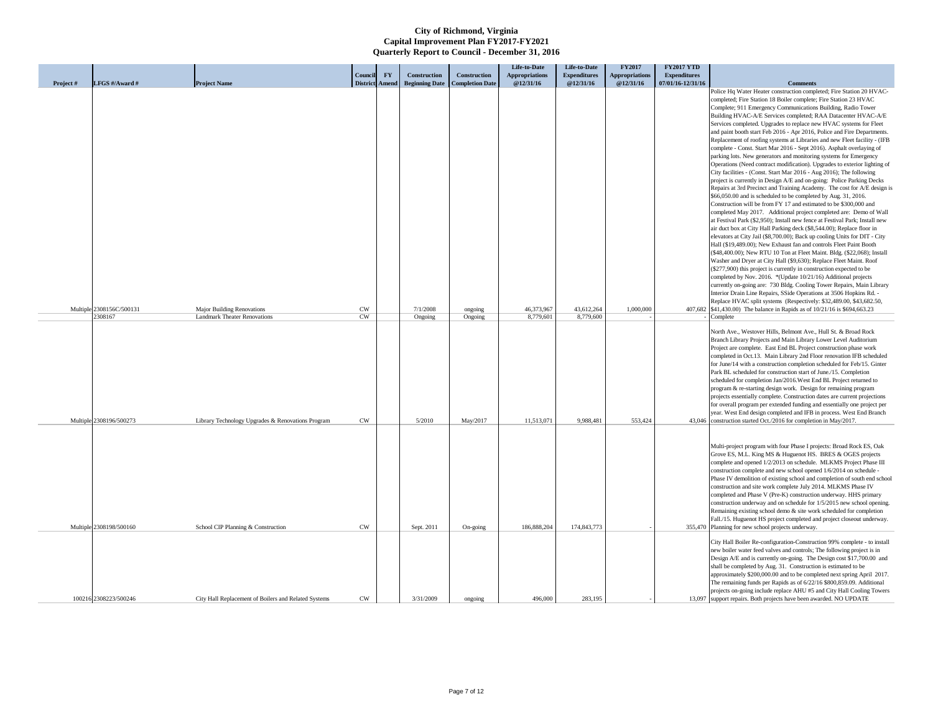|           |                          |                                                      |                                          |              |                                                               | Life-to-Date                       | Life-to-Date                     | <b>FY2017</b>                      | <b>FY2017 YTD</b>                        |                                                                                                                                                      |
|-----------|--------------------------|------------------------------------------------------|------------------------------------------|--------------|---------------------------------------------------------------|------------------------------------|----------------------------------|------------------------------------|------------------------------------------|------------------------------------------------------------------------------------------------------------------------------------------------------|
| Project # | LFGS #/Award #           | <b>Project Name</b>                                  | $\mathbf{F}\mathbf{Y}$<br><b>Council</b> | Construction | Construction<br>District Amend Beginning Date Completion Date | <b>Appropriations</b><br>@12/31/16 | <b>Expenditures</b><br>@12/31/16 | <b>Appropriations</b><br>@12/31/16 | <b>Expenditures</b><br>07/01/16-12/31/16 | <b>Comments</b>                                                                                                                                      |
|           |                          |                                                      |                                          |              |                                                               |                                    |                                  |                                    |                                          | Police Hq Water Heater construction completed; Fire Station 20 HVAC-                                                                                 |
|           |                          |                                                      |                                          |              |                                                               |                                    |                                  |                                    |                                          | completed; Fire Station 18 Boiler complete; Fire Station 23 HVAC                                                                                     |
|           |                          |                                                      |                                          |              |                                                               |                                    |                                  |                                    |                                          | Complete; 911 Emergency Communications Building, Radio Tower                                                                                         |
|           |                          |                                                      |                                          |              |                                                               |                                    |                                  |                                    |                                          | Building HVAC-A/E Services completed; RAA Datacenter HVAC-A/E                                                                                        |
|           |                          |                                                      |                                          |              |                                                               |                                    |                                  |                                    |                                          | Services completed. Upgrades to replace new HVAC systems for Fleet                                                                                   |
|           |                          |                                                      |                                          |              |                                                               |                                    |                                  |                                    |                                          | and paint booth start Feb 2016 - Apr 2016, Police and Fire Departments.<br>Replacement of roofing systems at Libraries and new Fleet facility - (IFB |
|           |                          |                                                      |                                          |              |                                                               |                                    |                                  |                                    |                                          | complete - Const. Start Mar 2016 - Sept 2016). Asphalt overlaying of                                                                                 |
|           |                          |                                                      |                                          |              |                                                               |                                    |                                  |                                    |                                          | parking lots. New generators and monitoring systems for Emergency                                                                                    |
|           |                          |                                                      |                                          |              |                                                               |                                    |                                  |                                    |                                          | Operations (Need contract modification). Upgrades to exterior lighting of                                                                            |
|           |                          |                                                      |                                          |              |                                                               |                                    |                                  |                                    |                                          | City facilities - (Const. Start Mar 2016 - Aug 2016); The following                                                                                  |
|           |                          |                                                      |                                          |              |                                                               |                                    |                                  |                                    |                                          | project is currently in Design A/E and on-going: Police Parking Decks                                                                                |
|           |                          |                                                      |                                          |              |                                                               |                                    |                                  |                                    |                                          | Repairs at 3rd Precinct and Training Academy. The cost for A/E design is                                                                             |
|           |                          |                                                      |                                          |              |                                                               |                                    |                                  |                                    |                                          | \$66,050.00 and is scheduled to be completed by Aug. 31, 2016.                                                                                       |
|           |                          |                                                      |                                          |              |                                                               |                                    |                                  |                                    |                                          | Construction will be from FY 17 and estimated to be \$300,000 and                                                                                    |
|           |                          |                                                      |                                          |              |                                                               |                                    |                                  |                                    |                                          | completed May 2017. Additional project completed are: Demo of Wall<br>at Festival Park (\$2,950); Install new fence at Festival Park; Install new    |
|           |                          |                                                      |                                          |              |                                                               |                                    |                                  |                                    |                                          | air duct box at City Hall Parking deck (\$8,544.00); Replace floor in                                                                                |
|           |                          |                                                      |                                          |              |                                                               |                                    |                                  |                                    |                                          | elevators at City Jail (\$8,700.00); Back up cooling Units for DIT - City                                                                            |
|           |                          |                                                      |                                          |              |                                                               |                                    |                                  |                                    |                                          | Hall (\$19,489.00); New Exhaust fan and controls Fleet Paint Booth                                                                                   |
|           |                          |                                                      |                                          |              |                                                               |                                    |                                  |                                    |                                          | (\$48,400.00); New RTU 10 Ton at Fleet Maint. Bldg. (\$22,068); Install                                                                              |
|           |                          |                                                      |                                          |              |                                                               |                                    |                                  |                                    |                                          | Washer and Dryer at City Hall (\$9,630); Replace Fleet Maint. Roof                                                                                   |
|           |                          |                                                      |                                          |              |                                                               |                                    |                                  |                                    |                                          | (\$277,900) this project is currently in construction expected to be                                                                                 |
|           |                          |                                                      |                                          |              |                                                               |                                    |                                  |                                    |                                          | completed by Nov. 2016. * (Update 10/21/16) Additional projects<br>currently on-going are: 730 Bldg. Cooling Tower Repairs, Main Library             |
|           |                          |                                                      |                                          |              |                                                               |                                    |                                  |                                    |                                          | Interior Drain Line Repairs, SSide Operations at 3506 Hopkins Rd. -                                                                                  |
|           |                          |                                                      |                                          |              |                                                               |                                    |                                  |                                    |                                          | Replace HVAC split systems (Respectively: \$32,489.00, \$43,682.50,                                                                                  |
|           | Multiple 2308156C/500131 | <b>Major Building Renovations</b>                    | <b>CW</b>                                | 7/1/2008     | ongoing                                                       | 46,373,967                         | 43,612,264                       | 1,000,000                          |                                          | 407,682 \\$41,430.00) The balance in Rapids as of 10/21/16 is \$694,663.23                                                                           |
|           | 2308167                  | <b>Landmark Theater Renovations</b>                  | <b>CW</b>                                | Ongoing      | Ongoing                                                       | 8,779,601                          | 8,779,600                        |                                    |                                          | Complete                                                                                                                                             |
|           |                          |                                                      |                                          |              |                                                               |                                    |                                  |                                    |                                          | North Ave., Westover Hills, Belmont Ave., Hull St. & Broad Rock                                                                                      |
|           |                          |                                                      |                                          |              |                                                               |                                    |                                  |                                    |                                          | Branch Library Projects and Main Library Lower Level Auditorium                                                                                      |
|           |                          |                                                      |                                          |              |                                                               |                                    |                                  |                                    |                                          | Project are complete. East End BL Project construction phase work                                                                                    |
|           |                          |                                                      |                                          |              |                                                               |                                    |                                  |                                    |                                          | completed in Oct.13. Main Library 2nd Floor renovation IFB scheduled                                                                                 |
|           |                          |                                                      |                                          |              |                                                               |                                    |                                  |                                    |                                          | for June/14 with a construction completion scheduled for Feb/15. Ginter                                                                              |
|           |                          |                                                      |                                          |              |                                                               |                                    |                                  |                                    |                                          | Park BL scheduled for construction start of June./15. Completion                                                                                     |
|           |                          |                                                      |                                          |              |                                                               |                                    |                                  |                                    |                                          | scheduled for completion Jan/2016. West End BL Project returned to<br>program & re-starting design work. Design for remaining program                |
|           |                          |                                                      |                                          |              |                                                               |                                    |                                  |                                    |                                          | projects essentially complete. Construction dates are current projections                                                                            |
|           |                          |                                                      |                                          |              |                                                               |                                    |                                  |                                    |                                          | for overall program per extended funding and essentially one project per                                                                             |
|           |                          |                                                      |                                          |              |                                                               |                                    |                                  |                                    |                                          | year. West End design completed and IFB in process. West End Branch                                                                                  |
|           | Multiple 2308196/500273  | Library Technology Upgrades & Renovations Program    | <b>CW</b>                                | 5/2010       | May/2017                                                      | 11,513,071                         | 9,988,481                        | 553,424                            |                                          | 43,046 construction started Oct./2016 for completion in May/2017.                                                                                    |
|           |                          |                                                      |                                          |              |                                                               |                                    |                                  |                                    |                                          |                                                                                                                                                      |
|           |                          |                                                      |                                          |              |                                                               |                                    |                                  |                                    |                                          |                                                                                                                                                      |
|           |                          |                                                      |                                          |              |                                                               |                                    |                                  |                                    |                                          | Multi-project program with four Phase I projects: Broad Rock ES, Oak                                                                                 |
|           |                          |                                                      |                                          |              |                                                               |                                    |                                  |                                    |                                          | Grove ES, M.L. King MS & Huguenot HS. BRES & OGES projects<br>complete and opened 1/2/2013 on schedule. MLKMS Project Phase III                      |
|           |                          |                                                      |                                          |              |                                                               |                                    |                                  |                                    |                                          | construction complete and new school opened 1/6/2014 on schedule -                                                                                   |
|           |                          |                                                      |                                          |              |                                                               |                                    |                                  |                                    |                                          | Phase IV demolition of existing school and completion of south end school                                                                            |
|           |                          |                                                      |                                          |              |                                                               |                                    |                                  |                                    |                                          | construction and site work complete July 2014. MLKMS Phase IV                                                                                        |
|           |                          |                                                      |                                          |              |                                                               |                                    |                                  |                                    |                                          | completed and Phase V (Pre-K) construction underway. HHS primary                                                                                     |
|           |                          |                                                      |                                          |              |                                                               |                                    |                                  |                                    |                                          | construction underway and on schedule for 1/5/2015 new school opening.                                                                               |
|           |                          |                                                      |                                          |              |                                                               |                                    |                                  |                                    |                                          | Remaining existing school demo & site work scheduled for completion<br>Fall./15. Huguenot HS project completed and project closeout underway.        |
|           | Multiple 2308198/500160  | School CIP Planning & Construction                   | ${\rm\bf CW}$                            | Sept. 2011   | On-going                                                      | 186,888,204                        | 174,843,773                      |                                    |                                          | 355,470 Planning for new school projects underway.                                                                                                   |
|           |                          |                                                      |                                          |              |                                                               |                                    |                                  |                                    |                                          |                                                                                                                                                      |
|           |                          |                                                      |                                          |              |                                                               |                                    |                                  |                                    |                                          | City Hall Boiler Re-configuration-Construction 99% complete - to install                                                                             |
|           |                          |                                                      |                                          |              |                                                               |                                    |                                  |                                    |                                          | new boiler water feed valves and controls; The following project is in<br>Design A/E and is currently on-going. The Design cost \$17,700.00 and      |
|           |                          |                                                      |                                          |              |                                                               |                                    |                                  |                                    |                                          | shall be completed by Aug. 31. Construction is estimated to be                                                                                       |
|           |                          |                                                      |                                          |              |                                                               |                                    |                                  |                                    |                                          | approximately \$200,000.00 and to be completed next spring April 2017.                                                                               |
|           |                          |                                                      |                                          |              |                                                               |                                    |                                  |                                    |                                          | The remaining funds per Rapids as of 6/22/16 \$800,859.09. Additional                                                                                |
|           |                          |                                                      |                                          |              |                                                               |                                    |                                  |                                    |                                          | projects on-going include replace AHU #5 and City Hall Cooling Towers                                                                                |
|           | 100216 2308223/500246    | City Hall Replacement of Boilers and Related Systems | <b>CW</b>                                | 3/31/2009    | ongoing                                                       | 496,000                            | 283,195                          |                                    |                                          | 13,097 support repairs. Both projects have been awarded. NO UPDATE                                                                                   |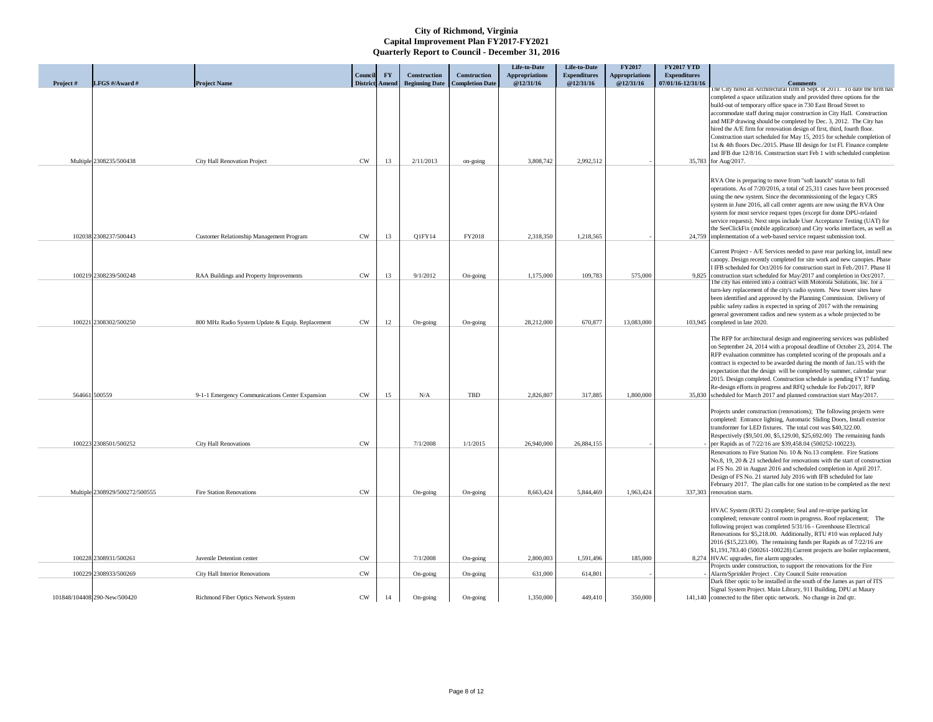|          |                                |                                                  |                                         |                        |                     |                                                         | Life-to-Date                       | Life-to-Date                     | <b>FY2017</b>                      | <b>FY2017 YTD</b>                        |                                                                                                                                                       |
|----------|--------------------------------|--------------------------------------------------|-----------------------------------------|------------------------|---------------------|---------------------------------------------------------|------------------------------------|----------------------------------|------------------------------------|------------------------------------------|-------------------------------------------------------------------------------------------------------------------------------------------------------|
| Project# | LFGS #/Award #                 | <b>Project Name</b>                              | <b>Council</b><br><b>District Amend</b> | $\mathbf{F}\mathbf{Y}$ | <b>Construction</b> | Construction<br><b>Beginning Date</b>   Completion Date | <b>Appropriations</b><br>@12/31/16 | <b>Expenditures</b><br>@12/31/16 | <b>Appropriations</b><br>@12/31/16 | <b>Expenditures</b><br>07/01/16-12/31/16 | <b>Comments</b>                                                                                                                                       |
|          |                                |                                                  |                                         |                        |                     |                                                         |                                    |                                  |                                    |                                          | The City hired an Architectural firm in Sept. of 2011. To date the firm has                                                                           |
|          |                                |                                                  |                                         |                        |                     |                                                         |                                    |                                  |                                    |                                          | completed a space utilization study and provided three options for the<br>build-out of temporary office space in 730 East Broad Street to             |
|          |                                |                                                  |                                         |                        |                     |                                                         |                                    |                                  |                                    |                                          | accommodate staff during major construction in City Hall. Construction                                                                                |
|          |                                |                                                  |                                         |                        |                     |                                                         |                                    |                                  |                                    |                                          | and MEP drawing should be completed by Dec. 3, 2012. The City has                                                                                     |
|          |                                |                                                  |                                         |                        |                     |                                                         |                                    |                                  |                                    |                                          | hired the A/E firm for renovation design of first, third, fourth floor.                                                                               |
|          |                                |                                                  |                                         |                        |                     |                                                         |                                    |                                  |                                    |                                          | Construction start scheduled for May 15, 2015 for schedule completion of<br>1st & 4th floors Dec./2015. Phase III design for 1st Fl. Finance complete |
|          |                                |                                                  |                                         |                        |                     |                                                         |                                    |                                  |                                    |                                          | and IFB due 12/8/16. Construction start Feb 1 with scheduled completion                                                                               |
|          | Multiple 2308235/500438        | <b>City Hall Renovation Project</b>              | <b>CW</b>                               | 13                     | 2/11/2013           | on-going                                                | 3,808,742                          | 2,992,512                        |                                    |                                          | 35,783 for Aug/2017.                                                                                                                                  |
|          |                                |                                                  |                                         |                        |                     |                                                         |                                    |                                  |                                    |                                          |                                                                                                                                                       |
|          |                                |                                                  |                                         |                        |                     |                                                         |                                    |                                  |                                    |                                          | RVA One is preparing to move from "soft launch" status to full                                                                                        |
|          |                                |                                                  |                                         |                        |                     |                                                         |                                    |                                  |                                    |                                          | operations. As of 7/20/2016, a total of 25,311 cases have been processed                                                                              |
|          |                                |                                                  |                                         |                        |                     |                                                         |                                    |                                  |                                    |                                          | using the new system. Since the decommissioning of the legacy CRS<br>system in June 2016, all call center agents are now using the RVA One            |
|          |                                |                                                  |                                         |                        |                     |                                                         |                                    |                                  |                                    |                                          | system for most service request types (except for dome DPU-related                                                                                    |
|          |                                |                                                  |                                         |                        |                     |                                                         |                                    |                                  |                                    |                                          | service requests). Next steps include User Acceptance Testing (UAT) for                                                                               |
|          |                                |                                                  |                                         |                        |                     |                                                         |                                    |                                  |                                    |                                          | the SeeClickFix (mobile application) and City works interfaces, as well as                                                                            |
|          | 102038 2308237/500443          | <b>Customer Relationship Management Program</b>  | <b>CW</b>                               | 13                     | Q1FY14              | FY2018                                                  | 2,318,350                          | 1,218,565                        |                                    |                                          | 24,759 implementation of a web-based service request submission tool                                                                                  |
|          |                                |                                                  |                                         |                        |                     |                                                         |                                    |                                  |                                    |                                          | Current Project - A/E Services needed to pave rear parking lot, install new                                                                           |
|          |                                |                                                  |                                         |                        |                     |                                                         |                                    |                                  |                                    |                                          | canopy. Design recently completed for site work and new canopies. Phase                                                                               |
|          |                                |                                                  |                                         |                        |                     |                                                         |                                    |                                  |                                    |                                          | I IFB scheduled for Oct/2016 for construction start in Feb./2017. Phase II                                                                            |
|          | 100219 2308239/500248          | RAA Buildings and Property Improvements          | <b>CW</b>                               | 13                     | 9/1/2012            | On-going                                                | 1,175,000                          | 109,783                          | 575,000                            | 9.825                                    | construction start scheduled for May/2017 and completion in Oct/2017.<br>The city has entered into a contract with Motorola Solutions, Inc. for a     |
|          |                                |                                                  |                                         |                        |                     |                                                         |                                    |                                  |                                    |                                          | turn-key replacement of the city's radio system. New tower sites have                                                                                 |
|          |                                |                                                  |                                         |                        |                     |                                                         |                                    |                                  |                                    |                                          | been identified and approved by the Planning Commission. Delivery of                                                                                  |
|          |                                |                                                  |                                         |                        |                     |                                                         |                                    |                                  |                                    |                                          | public safety radios is expected in spring of 2017 with the remaining<br>general government radios and new system as a whole projected to be          |
|          | 100221 2308302/500250          | 800 MHz Radio System Update & Equip. Replacement | <b>CW</b>                               | 12                     | On-going            | On-going                                                | 28,212,000                         | 670,877                          | 13,083,000                         |                                          | 103,945 completed in late 2020.                                                                                                                       |
|          |                                |                                                  |                                         |                        |                     |                                                         |                                    |                                  |                                    |                                          |                                                                                                                                                       |
|          |                                |                                                  |                                         |                        |                     |                                                         |                                    |                                  |                                    |                                          | The RFP for architectural design and engineering services was published                                                                               |
|          |                                |                                                  |                                         |                        |                     |                                                         |                                    |                                  |                                    |                                          | on September 24, 2014 with a proposal deadline of October 23, 2014. The<br>RFP evaluation committee has completed scoring of the proposals and a      |
|          |                                |                                                  |                                         |                        |                     |                                                         |                                    |                                  |                                    |                                          | contract is expected to be awarded during the month of Jan./15 with the                                                                               |
|          |                                |                                                  |                                         |                        |                     |                                                         |                                    |                                  |                                    |                                          | expectation that the design will be completed by summer, calendar year                                                                                |
|          |                                |                                                  |                                         |                        |                     |                                                         |                                    |                                  |                                    |                                          | 2015. Design completed. Construction schedule is pending FY17 funding.                                                                                |
|          |                                |                                                  |                                         |                        |                     |                                                         |                                    |                                  |                                    |                                          | Re-design efforts in progress and RFQ schedule for Feb/2017, RFP                                                                                      |
|          | 564661 500559                  | 9-1-1 Emergency Communications Center Expansion  | <b>CW</b>                               | 15                     | N/A                 | <b>TBD</b>                                              | 2,826,807                          | 317,885                          | 1,800,000                          |                                          | 35,830 scheduled for March 2017 and planned construction start May/2017.                                                                              |
|          |                                |                                                  |                                         |                        |                     |                                                         |                                    |                                  |                                    |                                          | Projects under construction (renovations); The following projects were                                                                                |
|          |                                |                                                  |                                         |                        |                     |                                                         |                                    |                                  |                                    |                                          | completed: Entrance lighting, Automatic Sliding Doors, Install exterior                                                                               |
|          |                                |                                                  |                                         |                        |                     |                                                         |                                    |                                  |                                    |                                          | transformer for LED fixtures. The total cost was \$40,322.00.                                                                                         |
|          | 100223 2308501/500252          | <b>City Hall Renovations</b>                     | <b>CW</b>                               |                        | 7/1/2008            | 1/1/2015                                                | 26,940,000                         | 26,884,155                       |                                    |                                          | Respectively (\$9,501.00, \$5,129.00, \$25,692.00) The remaining funds<br>per Rapids as of 7/22/16 are \$39,458.04 (500252-100223).                   |
|          |                                |                                                  |                                         |                        |                     |                                                         |                                    |                                  |                                    |                                          | Renovations to Fire Station No. 10 & No.13 complete. Fire Stations                                                                                    |
|          |                                |                                                  |                                         |                        |                     |                                                         |                                    |                                  |                                    |                                          | $\sqrt{N_0N_0}$ , 19, 20 & 21 scheduled for renovations with the start of construction                                                                |
|          |                                |                                                  |                                         |                        |                     |                                                         |                                    |                                  |                                    |                                          | at FS No. 20 in August 2016 and scheduled completion in April 2017.                                                                                   |
|          |                                |                                                  |                                         |                        |                     |                                                         |                                    |                                  |                                    |                                          | Design of FS No. 21 started July 2016 with IFB scheduled for late<br>February 2017. The plan calls for one station to be completed as the next        |
|          | Multiple 2308929/500272/500555 | <b>Fire Station Renovations</b>                  | <b>CW</b>                               |                        | On-going            | On-going                                                | 8,663,424                          | 5,844,469                        | 1,963,424                          |                                          | 337,303 renovation starts.                                                                                                                            |
|          |                                |                                                  |                                         |                        |                     |                                                         |                                    |                                  |                                    |                                          |                                                                                                                                                       |
|          |                                |                                                  |                                         |                        |                     |                                                         |                                    |                                  |                                    |                                          | HVAC System (RTU 2) complete; Seal and re-stripe parking lot                                                                                          |
|          |                                |                                                  |                                         |                        |                     |                                                         |                                    |                                  |                                    |                                          | completed; renovate control room in progress. Roof replacement; The                                                                                   |
|          |                                |                                                  |                                         |                        |                     |                                                         |                                    |                                  |                                    |                                          | following project was completed 5/31/16 - Greenhouse Electrical<br>Renovations for \$5,218.00. Additionally, RTU #10 was replaced July                |
|          |                                |                                                  |                                         |                        |                     |                                                         |                                    |                                  |                                    |                                          | $2016$ (\$15,223.00). The remaining funds per Rapids as of $7/22/16$ are                                                                              |
|          |                                |                                                  |                                         |                        |                     |                                                         |                                    |                                  |                                    |                                          | \$1,191,783.40 (500261-100228). Current projects are boiler replacement,                                                                              |
|          | 100228 2308931/500261          | Juvenile Detention center                        | <b>CW</b>                               |                        | 7/1/2008            | On-going                                                | 2,800,003                          | 1,591,496                        | 185,000                            |                                          | 8,274 HVAC upgrades, fire alarm upgrades.<br>Projects under construction, to support the renovations for the Fire                                     |
|          | 100229 2308933/500269          | City Hall Interior Renovations                   | <b>CW</b>                               |                        | On-going            | On-going                                                | 631,000                            | 614,801                          |                                    |                                          | Alarm/Sprinkler Project . City Council Suite renovation                                                                                               |
|          |                                |                                                  |                                         |                        |                     |                                                         |                                    |                                  |                                    |                                          | Dark fiber optic to be installed in the south of the James as part of ITS                                                                             |
|          |                                |                                                  |                                         | 1 <sub>1</sub>         |                     |                                                         |                                    |                                  |                                    |                                          | Signal System Project. Main Library, 911 Building, DPU at Maury                                                                                       |
|          | 101848/104408 290-New/500420   | Richmond Fiber Optics Network System             | CW                                      |                        | On-going            | On-going                                                | 1,350,000                          | 449,410                          | 350,000                            |                                          | 141,140 connected to the fiber optic network. No change in 2nd qtr.                                                                                   |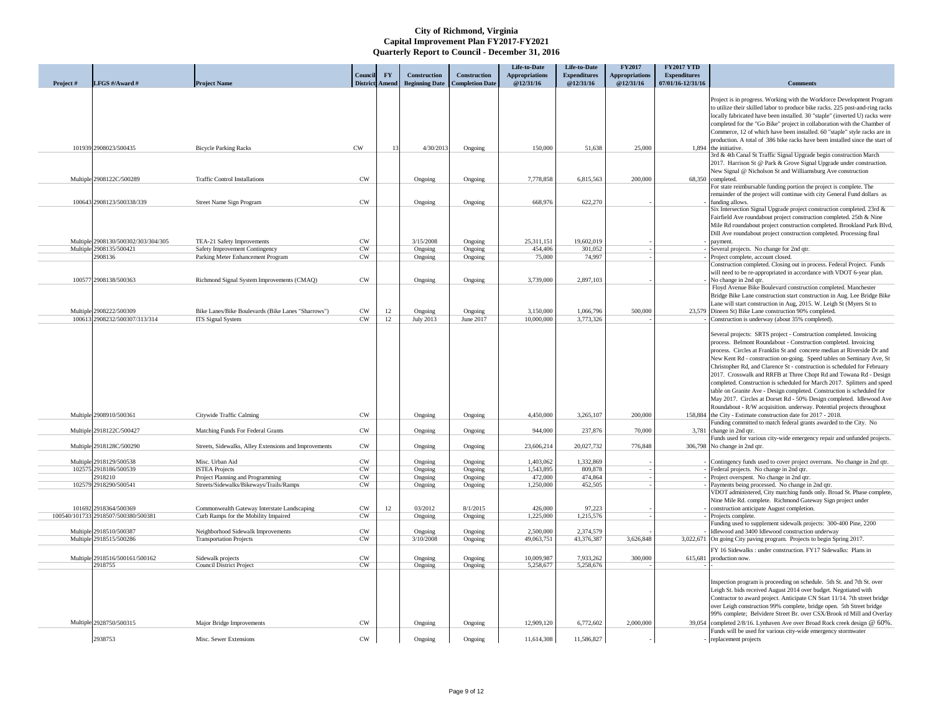|           |                                                    |                                                                                 |                        |           |                                                             |                                               | Life-to-Date                       | Life-to-Date                     | <b>FY2017</b>                      | <b>FY2017 YTD</b>                        |                                                                                                                                                                                                                                                                                                                                                                                                                                                                                                                                                                                                                                                                                                                                                                                                                    |
|-----------|----------------------------------------------------|---------------------------------------------------------------------------------|------------------------|-----------|-------------------------------------------------------------|-----------------------------------------------|------------------------------------|----------------------------------|------------------------------------|------------------------------------------|--------------------------------------------------------------------------------------------------------------------------------------------------------------------------------------------------------------------------------------------------------------------------------------------------------------------------------------------------------------------------------------------------------------------------------------------------------------------------------------------------------------------------------------------------------------------------------------------------------------------------------------------------------------------------------------------------------------------------------------------------------------------------------------------------------------------|
| Project # | LFGS #/Award #                                     | <b>Project Name</b>                                                             | <b>Council</b>         | <b>FY</b> | <b>Construction</b><br><b>District Amend Beginning Date</b> | <b>Construction</b><br><b>Completion Date</b> | <b>Appropriations</b><br>@12/31/16 | <b>Expenditures</b><br>@12/31/16 | <b>Appropriations</b><br>@12/31/16 | <b>Expenditures</b><br>07/01/16-12/31/16 | <b>Comments</b>                                                                                                                                                                                                                                                                                                                                                                                                                                                                                                                                                                                                                                                                                                                                                                                                    |
|           |                                                    |                                                                                 |                        |           |                                                             |                                               |                                    |                                  |                                    |                                          | Project is in progress. Working with the Workforce Development Program<br>to utilize their skilled labor to produce bike racks. 225 post-and-ring racks<br>locally fabricated have been installed. 30 "staple" (inverted U) racks were<br>completed for the "Go Bike" project in collaboration with the Chamber of<br>Commerce, 12 of which have been installed. 60 "staple" style racks are in                                                                                                                                                                                                                                                                                                                                                                                                                    |
|           | 101939 2908023/500435                              | <b>Bicycle Parking Racks</b>                                                    | <b>CW</b>              | 13        | 4/30/2013                                                   | Ongoing                                       | 150,000                            | 51,638                           | 25,000                             |                                          | production. A total of 386 bike racks have been installed since the start of<br>1,894 the initiative.                                                                                                                                                                                                                                                                                                                                                                                                                                                                                                                                                                                                                                                                                                              |
|           |                                                    |                                                                                 |                        |           |                                                             |                                               |                                    |                                  |                                    |                                          | 3rd & 4th Canal St Traffic Signal Upgrade begin construction March<br>2017. Harrison St @ Park & Grove Signal Upgrade under construction.<br>New Signal @ Nicholson St and Williamsburg Ave construction                                                                                                                                                                                                                                                                                                                                                                                                                                                                                                                                                                                                           |
|           | Multiple 2908122C/500289                           | <b>Traffic Control Installations</b>                                            | ${\rm\bf CW}$          |           | Ongoing                                                     | Ongoing                                       | 7,778,858                          | 6,815,563                        | 200,000                            |                                          | 68,350 completed.<br>For state reimbursable funding portion the project is complete. The                                                                                                                                                                                                                                                                                                                                                                                                                                                                                                                                                                                                                                                                                                                           |
|           | 100643 2908123/500338/339                          | Street Name Sign Program                                                        | CW                     |           | Ongoing                                                     | Ongoing                                       | 668,976                            | 622,270                          |                                    |                                          | remainder of the project will continue with city General Fund dollars as<br>funding allows.                                                                                                                                                                                                                                                                                                                                                                                                                                                                                                                                                                                                                                                                                                                        |
|           |                                                    |                                                                                 |                        |           |                                                             |                                               |                                    |                                  |                                    |                                          | Six Intersection Signal Upgrade project construction completed. 23rd &<br>Fairfield Ave roundabout project construction completed. 25th & Nine<br>Mile Rd roundabout project construction completed. Brookland Park Blvd,<br>Dill Ave roundabout project construction completed. Processing final                                                                                                                                                                                                                                                                                                                                                                                                                                                                                                                  |
|           | Multiple 2908130/500302/303/304/305                | TEA-21 Safety Improvements                                                      | <b>CW</b>              |           | 3/15/2008                                                   | Ongoing                                       | 25,311,151                         | 19,602,019                       |                                    |                                          | payment                                                                                                                                                                                                                                                                                                                                                                                                                                                                                                                                                                                                                                                                                                                                                                                                            |
|           | Multiple 2908135/500421                            | Safety Improvement Contingency                                                  | ${\rm\bf CW}$          |           | Ongoing                                                     | Ongoing                                       | 454,406                            | 301,052                          |                                    |                                          | Several projects. No change for 2nd qtr.                                                                                                                                                                                                                                                                                                                                                                                                                                                                                                                                                                                                                                                                                                                                                                           |
|           | 2908136<br>100577 2908138/500363                   | Parking Meter Enhancement Program<br>Richmond Signal System Improvements (CMAQ) | <b>CW</b><br><b>CW</b> |           | Ongoing<br>Ongoing                                          | Ongoing<br>Ongoing                            | 75,000<br>3,739,000                | 74,997<br>2,897,103              |                                    |                                          | Project complete, account closed.<br>Construction completed. Closing out in process. Federal Project. Funds<br>will need to be re-appropriated in accordance with VDOT 6-year plan.<br>No change in 2nd qtr.                                                                                                                                                                                                                                                                                                                                                                                                                                                                                                                                                                                                       |
|           |                                                    |                                                                                 |                        |           |                                                             |                                               |                                    |                                  |                                    |                                          | Floyd Avenue Bike Boulevard construction completed. Manchester<br>Bridge Bike Lane construction start construction in Aug. Lee Bridge Bike<br>Lane will start construction in Aug, 2015. W. Leigh St (Myers St to                                                                                                                                                                                                                                                                                                                                                                                                                                                                                                                                                                                                  |
|           | Multiple 2908222/500309                            | Bike Lanes/Bike Boulevards (Bike Lanes "Sharrows")                              | <b>CW</b>              | 12        | Ongoing                                                     | Ongoing                                       | 3,150,000                          | 1,066,796                        | 500,000                            |                                          | 23,579 Dineen St) Bike Lane construction 90% completed.                                                                                                                                                                                                                                                                                                                                                                                                                                                                                                                                                                                                                                                                                                                                                            |
|           | 100613 2908232/500307/313/314                      | <b>ITS</b> Signal System                                                        | $\mathrm{CW}$          | 12        | <b>July 2013</b>                                            | June 2017                                     | 10,000,000                         | 3,773,326                        |                                    |                                          | Construction is underway (about 35% completed).                                                                                                                                                                                                                                                                                                                                                                                                                                                                                                                                                                                                                                                                                                                                                                    |
|           |                                                    |                                                                                 |                        |           |                                                             |                                               |                                    |                                  |                                    |                                          | Several projects: SRTS project - Construction completed. Invoicing<br>process. Belmont Roundabout - Construction completed. Invoicing<br>process. Circles at Franklin St and concrete median at Riverside Dr and<br>New Kent Rd - construction on-going. Speed tables on Seminary Ave, St<br>Christopher Rd, and Clarence St - construction is scheduled for February<br>2017. Crosswalk and RRFB at Three Chopt Rd and Towana Rd - Design<br>completed. Construction is scheduled for March 2017. Splitters and speed<br>table on Granite Ave - Design completed. Construction is scheduled for<br>May 2017. Circles at Dorset Rd - 50% Design completed. Idlewood Ave<br>Roundabout - R/W acquisition. underway. Potential projects throughout<br>158,884 the City - Estimate construction date for 2017 - 2018. |
|           | Multiple 2908910/500361                            | Citywide Traffic Calming                                                        | <b>CW</b>              |           | Ongoing                                                     | Ongoing                                       | 4,450,000                          | 3,265,107                        | 200,000                            |                                          | Funding committed to match federal grants awarded to the City. No                                                                                                                                                                                                                                                                                                                                                                                                                                                                                                                                                                                                                                                                                                                                                  |
|           | Multiple 2918122C/500427                           | Matching Funds For Federal Grants                                               | <b>CW</b>              |           | Ongoing                                                     | Ongoing                                       | 944,000                            | 237,876                          | 70,000                             |                                          | $3,781$ change in 2nd qtr.<br>Funds used for various city-wide emergency repair and unfunded projects.                                                                                                                                                                                                                                                                                                                                                                                                                                                                                                                                                                                                                                                                                                             |
|           | Multiple 2918128C/500290                           | Streets, Sidewalks, Alley Extensions and Improvements                           | <b>CW</b>              |           | Ongoing                                                     | Ongoing                                       | 23,606,214                         | 20,027,732                       | 776,848                            |                                          | 306,798 No change in 2nd qtr.                                                                                                                                                                                                                                                                                                                                                                                                                                                                                                                                                                                                                                                                                                                                                                                      |
|           | Multiple 2918129/500538                            | Misc. Urban Aid                                                                 | <b>CW</b>              |           | Ongoing                                                     | Ongoing                                       | 1,403,062                          | 1,332,869                        |                                    |                                          | Contingency funds used to cover project overruns. No change in 2nd qtr.                                                                                                                                                                                                                                                                                                                                                                                                                                                                                                                                                                                                                                                                                                                                            |
|           | 102575 2918186/500539                              | <b>ISTEA Projects</b>                                                           | <b>CW</b>              |           | Ongoing                                                     | Ongoing                                       | 1,543,895                          | 809,878                          |                                    |                                          | Federal projects. No change in 2nd qtr.                                                                                                                                                                                                                                                                                                                                                                                                                                                                                                                                                                                                                                                                                                                                                                            |
|           | 2918210                                            | Project Planning and Programming                                                | <b>CW</b>              |           | Ongoing                                                     | Ongoing                                       | 472,000                            | 474,864                          |                                    |                                          | Project overspent. No change in 2nd qtr.                                                                                                                                                                                                                                                                                                                                                                                                                                                                                                                                                                                                                                                                                                                                                                           |
|           | 102579 2918290/500541                              | Streets/Sidewalks/Bikeways/Trails/Ramps                                         | <b>CW</b>              |           | Ongoing                                                     | Ongoing                                       | 1,250,000                          | 452,505                          |                                    |                                          | Payments being processed. No change in 2nd qtr.<br>VDOT administered, City matching funds only. Broad St. Phase complete,                                                                                                                                                                                                                                                                                                                                                                                                                                                                                                                                                                                                                                                                                          |
|           | 101692 2918364/500369                              | Commonwealth Gateway Interstate Landscaping                                     | <b>CW</b>              | 12        | 03/2012                                                     | 8/1/2015                                      | 426,000                            | 97,223                           |                                    |                                          | Nine Mile Rd. complete. Richmond Gateway Sign project under<br>construction anticipate August completion.                                                                                                                                                                                                                                                                                                                                                                                                                                                                                                                                                                                                                                                                                                          |
|           | 100540/101733 2918507/500380/500381                | Curb Ramps for the Mobility Impaired                                            | <b>CW</b>              |           | Ongoing                                                     | Ongoing                                       | 1,225,000                          | 1,215,576                        |                                    |                                          | Projects complete.<br>Funding used to supplement sidewalk projects: 300-400 Pine, 2200                                                                                                                                                                                                                                                                                                                                                                                                                                                                                                                                                                                                                                                                                                                             |
|           | Multiple 2918510/500387<br>Multiple 2918515/500286 | Neighborhood Sidewalk Improvements                                              | CW                     |           | Ongoing                                                     | Ongoing                                       | 2,500,000                          | 2,374,579                        |                                    |                                          | Idlewood and 3400 Idlewood construction underway                                                                                                                                                                                                                                                                                                                                                                                                                                                                                                                                                                                                                                                                                                                                                                   |
|           |                                                    | <b>Transportation Projects</b>                                                  | CW                     |           | 3/10/2008                                                   | Ongoing                                       | 49,063,751                         | 43,376,387                       | 3,626,848                          |                                          | 3,022,671 On going City paving program. Projects to begin Spring 2017.<br>FY 16 Sidewalks : under construction. FY17 Sidewalks: Plans in                                                                                                                                                                                                                                                                                                                                                                                                                                                                                                                                                                                                                                                                           |
|           | Multiple 2918516/500161/500162                     | Sidewalk projects                                                               | <b>CW</b>              |           | Ongoing                                                     | Ongoing                                       | 10,009,987                         | 7,933,262                        | 300,000                            |                                          | 615,681 production now.                                                                                                                                                                                                                                                                                                                                                                                                                                                                                                                                                                                                                                                                                                                                                                                            |
|           | 2918755                                            | <b>Council District Project</b>                                                 | <b>CW</b>              |           | Ongoing                                                     | Ongoing                                       | 5,258,677                          | 5,258,676                        |                                    |                                          |                                                                                                                                                                                                                                                                                                                                                                                                                                                                                                                                                                                                                                                                                                                                                                                                                    |
|           |                                                    |                                                                                 |                        |           |                                                             |                                               |                                    |                                  |                                    |                                          | Inspection program is proceeding on schedule. 5th St. and 7th St. over<br>Leigh St. bids received August 2014 over budget. Negotiated with<br>Contractor to award project. Anticipate CN Start 11/14. 7th street bridge<br>over Leigh construction 99% complete, bridge open. 5th Street bridge<br>99% complete; Belvidere Street Br. over CSX/Brook rd Mill and Overlay                                                                                                                                                                                                                                                                                                                                                                                                                                           |
|           | Multiple 2928750/500315                            | Major Bridge Improvements                                                       | ${\rm\bf CW}$          |           | Ongoing                                                     | Ongoing                                       | 12,909,120                         | 6,772,602                        | 2,000,000                          |                                          | 39,054 completed 2/8/16. Lynhaven Ave over Broad Rock creek design @ 60%.<br>Funds will be used for various city-wide emergency stormwater                                                                                                                                                                                                                                                                                                                                                                                                                                                                                                                                                                                                                                                                         |
|           | 2938753                                            | Misc. Sewer Extensions                                                          | <b>CW</b>              |           | Ongoing                                                     | Ongoing                                       | 11,614,308                         | 11,586,827                       |                                    |                                          | replacement projects                                                                                                                                                                                                                                                                                                                                                                                                                                                                                                                                                                                                                                                                                                                                                                                               |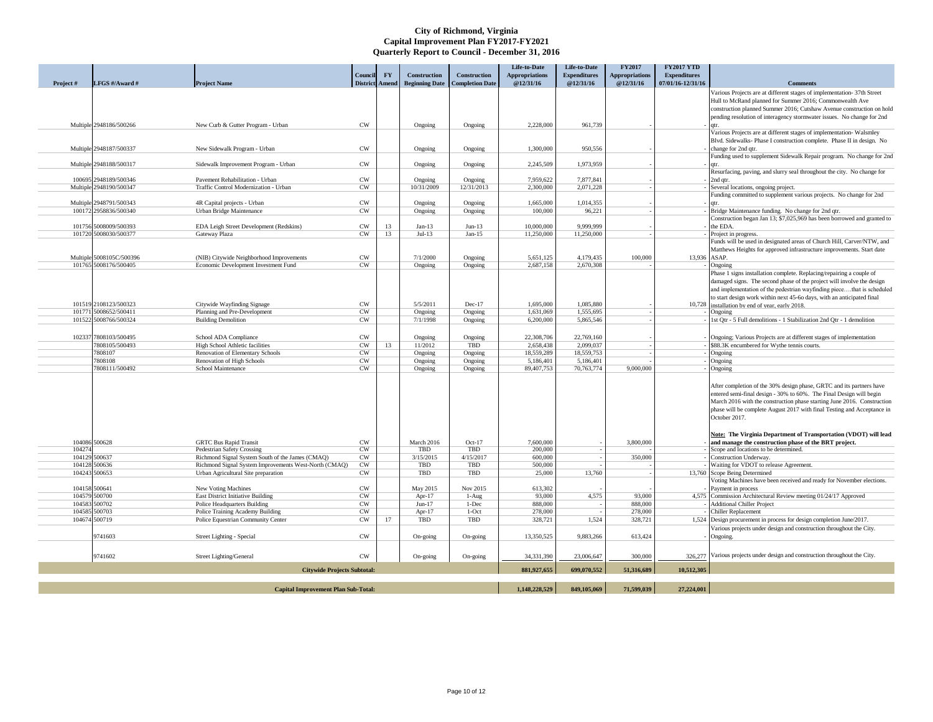| Project # | LFGS #/Award #            | <b>Project Name</b>                                                 | <b>Council</b>             | <b>FY</b>     | <b>Construction</b><br><b>District Amend Beginning Date   Completion Date</b> | Construction   | Life-to-Date<br><b>Appropriations</b><br>@12/31/16 | Life-to-Date<br><b>Expenditures</b><br>@12/31/16 | <b>FY2017</b><br><b>Appropriations</b><br>@12/31/16 | <b>FY2017 YTD</b><br><b>Expenditures</b><br>07/01/16-12/31/16<br><b>Comments</b>                                                               |
|-----------|---------------------------|---------------------------------------------------------------------|----------------------------|---------------|-------------------------------------------------------------------------------|----------------|----------------------------------------------------|--------------------------------------------------|-----------------------------------------------------|------------------------------------------------------------------------------------------------------------------------------------------------|
|           |                           |                                                                     |                            |               |                                                                               |                |                                                    |                                                  |                                                     | Various Projects are at different stages of implementation- 37th Street                                                                        |
|           |                           |                                                                     |                            |               |                                                                               |                |                                                    |                                                  |                                                     | Hull to McRand planned for Summer 2016; Commonwealth Ave                                                                                       |
|           |                           |                                                                     |                            |               |                                                                               |                |                                                    |                                                  |                                                     | construction planned Summer 2016; Cutshaw Avenue construction on hold                                                                          |
|           |                           |                                                                     |                            |               |                                                                               |                |                                                    |                                                  |                                                     | pending resolution of interagency stormwater issues. No change for 2nd                                                                         |
|           | Multiple 2948186/500266   | New Curb & Gutter Program - Urban                                   | ${\rm\bf CW}$              |               | Ongoing                                                                       | Ongoing        | 2,228,000                                          | 961,739                                          |                                                     | Various Projects are at different stages of implementation-Walsmley                                                                            |
|           |                           |                                                                     |                            |               |                                                                               |                |                                                    |                                                  |                                                     | Blvd. Sidewalks- Phase I construction complete. Phase II in design. No                                                                         |
|           | Multiple 2948187/500337   | New Sidewalk Program - Urban                                        | ${\rm\bf CW}$              |               | Ongoing                                                                       | Ongoing        | 1,300,000                                          | 950,556                                          |                                                     | change for 2nd qtr.                                                                                                                            |
|           |                           |                                                                     |                            |               |                                                                               |                |                                                    |                                                  |                                                     | Funding used to supplement Sidewalk Repair program. No change for 2nd                                                                          |
|           | Multiple 2948188/500317   | Sidewalk Improvement Program - Urban                                | ${\rm\bf CW}$              |               | Ongoing                                                                       | Ongoing        | 2,245,509                                          | 1,973,959                                        |                                                     |                                                                                                                                                |
|           | 100695 2948189/500346     | Pavement Rehabilitation - Urban                                     | ${\rm\bf CW}$              |               | Ongoing                                                                       | Ongoing        | 7,959,622                                          | 7,877,841                                        |                                                     | Resurfacing, paving, and slurry seal throughout the city. No change for<br>2nd qtr.                                                            |
|           | Multiple 2948190/500347   | Traffic Control Modernization - Urban                               | ${\rm\bf CW}$              |               | 10/31/2009                                                                    | 12/31/2013     | 2,300,000                                          | 2,071,228                                        |                                                     | Several locations, ongoing project.                                                                                                            |
|           |                           |                                                                     |                            |               |                                                                               |                |                                                    |                                                  |                                                     | Funding committed to supplement various projects. No change for 2nd                                                                            |
|           | Multiple 2948791/500343   | 4R Capital projects - Urban                                         | <b>CW</b>                  |               | Ongoing                                                                       | Ongoing        | 1,665,000                                          | 1,014,355                                        |                                                     | qtr.                                                                                                                                           |
|           | 100172 2958836/500340     | Urban Bridge Maintenance                                            | <b>CW</b>                  |               | Ongoing                                                                       | Ongoing        | 100,000                                            | 96,221                                           |                                                     | Bridge Maintenance funding. No change for 2nd qtr.                                                                                             |
|           | 101756 5008009/500393     | EDA Leigh Street Development (Redskins)                             | ${\rm\bf CW}$              | 13            | $Jan-13$                                                                      | $Jun-13$       | 10,000,000                                         | 9,999,999                                        |                                                     | Construction began Jan 13; \$7,025,969 has been borrowed and granted to<br>the EDA.                                                            |
|           | 101720 5008030/500377     | Gateway Plaza                                                       | <b>CW</b>                  | 13            | $Jul-13$                                                                      | Jan- $15$      | 11,250,000                                         | 11,250,000                                       |                                                     | Project in progress.                                                                                                                           |
|           |                           |                                                                     |                            |               |                                                                               |                |                                                    |                                                  |                                                     | Funds will be used in designated areas of Church Hill, Carver/NTW, and                                                                         |
|           |                           |                                                                     |                            |               |                                                                               |                |                                                    |                                                  |                                                     | Matthews Heights for approved infrastructure improvements. Start date                                                                          |
|           | Multiple 5008105C/500396  | (NIB) Citywide Neighborhood Improvements                            | ${\rm\bf CW}$              |               | 7/1/2000                                                                      | Ongoing        | 5,651,125                                          | 4,179,435                                        | 100,000                                             | 13,936 ASAP.                                                                                                                                   |
|           | 101765 5008176/500405     | Economic Development Investment Fund                                | CW                         |               | Ongoing                                                                       | Ongoing        | 2,687,158                                          | 2,670,308                                        |                                                     | Ongoing                                                                                                                                        |
|           |                           |                                                                     |                            |               |                                                                               |                |                                                    |                                                  |                                                     | Phase 1 signs installation complete. Replacing/repairing a couple of<br>damaged signs. The second phase of the project will involve the design |
|           |                           |                                                                     |                            |               |                                                                               |                |                                                    |                                                  |                                                     | and implementation of the pedestrian wayfinding piecethat is scheduled                                                                         |
|           |                           |                                                                     |                            |               |                                                                               |                |                                                    |                                                  |                                                     | to start design work within next 45-60 days, with an anticipated final                                                                         |
|           | 101519 2108123/500323     | Citywide Wayfinding Signage                                         | <b>CW</b>                  |               | 5/5/2011                                                                      | Dec-17         | 1,695,000                                          | 1,085,880                                        |                                                     | 10,728 installation by end of year. early 2018.                                                                                                |
|           | 101771 5008652/500411     | Planning and Pre-Development                                        | <b>CW</b>                  |               | Ongoing                                                                       | Ongoing        | 1,631,069                                          | 1,555,695                                        |                                                     | Ongoing                                                                                                                                        |
|           | 101522 5008766/500324     | <b>Building Demolition</b>                                          | <b>CW</b>                  |               | 7/1/1998                                                                      | Ongoing        | 6,200,000                                          | 5,865,546                                        |                                                     | 1st Qtr - 5 Full demolitions - 1 Stabilization 2nd Qtr - 1 demolition                                                                          |
|           |                           |                                                                     |                            |               |                                                                               |                |                                                    |                                                  |                                                     |                                                                                                                                                |
|           | 102337 7808103/500495     | School ADA Compliance                                               | $\mathrm{CW}$              |               | Ongoing                                                                       | Ongoing        | 22,308,706                                         | 22,769,160                                       |                                                     | Ongoing; Various Projects are at different stages of implementation                                                                            |
|           | 7808105/500493<br>7808107 | High School Athletic facilities<br>Renovation of Elementary Schools | ${\rm\bf CW}$<br><b>CW</b> | 13            | 11/2012<br>Ongoing                                                            | TBD<br>Ongoing | 2,658,438<br>18,559,289                            | 2,099,037<br>18,559,753                          |                                                     | \$88.3K encumbered for Wythe tennis courts.<br>Ongoing                                                                                         |
|           | 7808108                   | Renovation of High Schools                                          | <b>CW</b>                  |               | Ongoing                                                                       | Ongoing        | 5,186,401                                          | 5,186,401                                        |                                                     | Ongoing                                                                                                                                        |
|           | 7808111/500492            | <b>School Maintenance</b>                                           | <b>CW</b>                  |               | Ongoing                                                                       | Ongoing        | 89,407,753                                         | 70,763,774                                       | 9,000,000                                           | Ongoing                                                                                                                                        |
|           |                           |                                                                     |                            |               |                                                                               |                |                                                    |                                                  |                                                     |                                                                                                                                                |
|           |                           |                                                                     |                            |               |                                                                               |                |                                                    |                                                  |                                                     | After completion of the 30% design phase, GRTC and its partners have                                                                           |
|           |                           |                                                                     |                            |               |                                                                               |                |                                                    |                                                  |                                                     | entered semi-final design - 30% to 60%. The Final Design will begin                                                                            |
|           |                           |                                                                     |                            |               |                                                                               |                |                                                    |                                                  |                                                     | March 2016 with the construction phase starting June 2016. Construction                                                                        |
|           |                           |                                                                     |                            |               |                                                                               |                |                                                    |                                                  |                                                     | phase will be complete August 2017 with final Testing and Acceptance in                                                                        |
|           |                           |                                                                     |                            |               |                                                                               |                |                                                    |                                                  |                                                     | October 2017.                                                                                                                                  |
|           |                           |                                                                     |                            |               |                                                                               |                |                                                    |                                                  |                                                     | Note: The Virginia Department of Transportation (VDOT) will lead                                                                               |
|           | 104086 500628             | <b>GRTC Bus Rapid Transit</b>                                       | ${\rm\bf CW}$              |               | March 2016                                                                    | Oct-17         | 7,600,000                                          |                                                  | 3,800,000                                           | and manage the construction phase of the BRT project.                                                                                          |
| 104274    |                           | <b>Pedestrian Safety Crossing</b>                                   | CW                         |               | <b>TBD</b>                                                                    | <b>TBD</b>     | 200,000                                            |                                                  |                                                     | Scope and locations to be determined.                                                                                                          |
|           | 104129 500637             | Richmond Signal System South of the James (CMAQ)                    | <b>CW</b>                  |               | 3/15/2015                                                                     | 4/15/2017      | 600,000                                            |                                                  | 350,000                                             | Construction Underway.                                                                                                                         |
|           | 104128 500636             | Richmond Signal System Improvements West-North (CMAQ)               | CW                         |               | TBD                                                                           | TBD            | 500,000                                            |                                                  |                                                     | Waiting for VDOT to release Agreement.                                                                                                         |
|           | 104243 500653             | Urban Agricultural Site preparation                                 | <b>CW</b>                  |               | TBD                                                                           | TBD            | 25,000                                             | 13,760                                           |                                                     | 13,760 Scope Being Determined<br>Voting Machines have been received and ready for November elections.                                          |
|           | 104158 500641             | New Voting Machines                                                 | CW                         |               | May 2015                                                                      | Nov 2015       | 613,302                                            |                                                  |                                                     | Payment in process                                                                                                                             |
|           | 104579 500700             | <b>East District Initiative Building</b>                            | <b>CW</b>                  |               | Apr- $17$                                                                     | $1-Aug$        | 93,000                                             | 4,575                                            | 93,000                                              | 4,575 Commission Architectural Review meeting 01/24/17 Approved                                                                                |
|           | 104583 500702             | Police Headquarters Building                                        | <b>CW</b>                  |               | Jun-17                                                                        | $1-Dec$        | 888,000                                            |                                                  | 888,000                                             | <b>Additional Chiller Project</b>                                                                                                              |
|           | 104585 500703             | Police Training Academy Building                                    | <b>CW</b>                  |               | Apr- $17$                                                                     | $1$ -Oct       | 278,000                                            |                                                  | 278,000                                             | <b>Chiller Replacement</b>                                                                                                                     |
|           | 104674 500719             | Police Equestrian Community Center                                  | <b>CW</b>                  | 17            | TBD                                                                           | TBD            | 328,721                                            | 1,524                                            | 328,721                                             | 1,524 Design procurement in process for design completion June/2017.                                                                           |
|           |                           |                                                                     |                            |               |                                                                               |                |                                                    |                                                  |                                                     | Various projects under design and construction throughout the City.                                                                            |
|           | 9741603                   | Street Lighting - Special                                           | <b>CW</b>                  |               | On-going                                                                      | On-going       | 13,350,525                                         | 9,883,266                                        | 613,424                                             | Ongoing.                                                                                                                                       |
|           |                           |                                                                     |                            |               |                                                                               |                |                                                    |                                                  |                                                     |                                                                                                                                                |
|           | 9741602                   | Street Lighting/General                                             | CW                         |               | On-going                                                                      | On-going       | 34, 331, 390                                       | 23,006,647                                       | 300,000                                             | 326,277 Various projects under design and construction throughout the City.                                                                    |
|           |                           | <b>Citywide Projects Subtotal:</b>                                  |                            |               |                                                                               |                | 881,927,655                                        | 699,070,552                                      | 51,316,689                                          | 10,512,305                                                                                                                                     |
|           |                           | <b>Capital Improvement Plan Sub-Total:</b>                          |                            | 1,148,228,529 | 849,105,069                                                                   | 71,599,039     | 27,224,001                                         |                                                  |                                                     |                                                                                                                                                |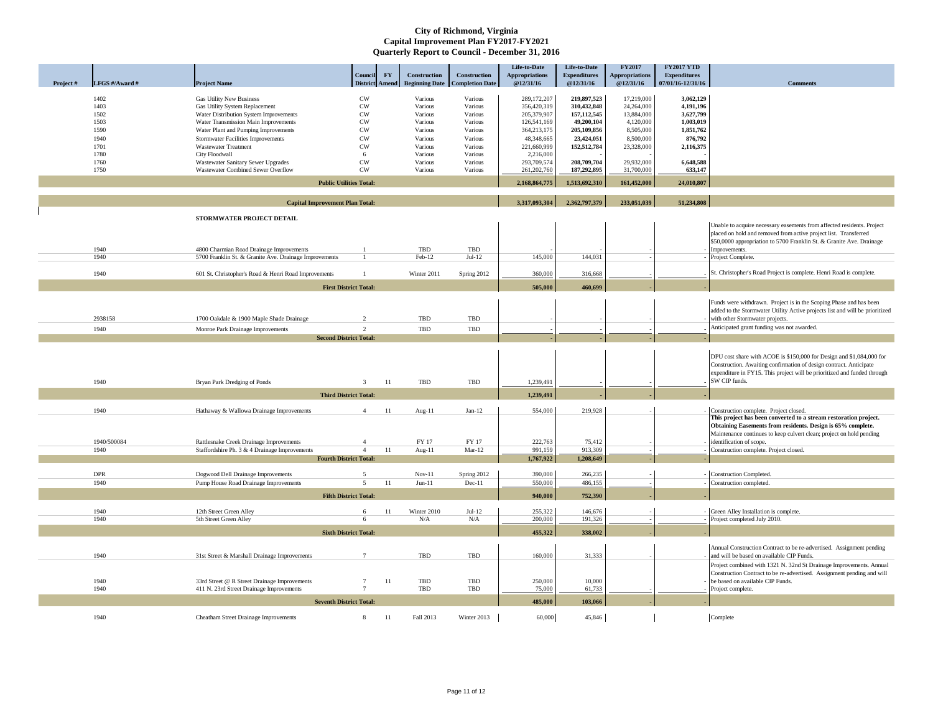|           |                     |                                                                                          | <b>Council</b>         | $\mathbf{F}\mathbf{Y}$ | <b>Construction</b> | Construction                                         | Life-to-Date<br><b>Appropriations</b> | Life-to-Date<br><b>Expenditures</b> | <b>FY2017</b><br><b>Appropriations</b> | <b>FY2017 YTD</b><br><b>Expenditures</b> |                                                                                                                                                    |
|-----------|---------------------|------------------------------------------------------------------------------------------|------------------------|------------------------|---------------------|------------------------------------------------------|---------------------------------------|-------------------------------------|----------------------------------------|------------------------------------------|----------------------------------------------------------------------------------------------------------------------------------------------------|
| Project # | LFGS #/Award #      | <b>Project Name</b>                                                                      |                        |                        |                     | <b>District Amend Beginning Date Completion Date</b> | @12/31/16                             | @12/31/16                           | @12/31/16                              | $07/01/16 - 12/31/16$                    | <b>Comments</b>                                                                                                                                    |
|           | 1402                | <b>Gas Utility New Business</b>                                                          | <b>CW</b>              |                        | Various             | Various                                              | 289,172,207                           | 219,897,523                         | 17,219,000                             | 3,062,129                                |                                                                                                                                                    |
|           | 1403                | <b>Gas Utility System Replacement</b>                                                    | <b>CW</b>              |                        | Various             | Various                                              | 356,420,319                           | 310,432,848                         | 24,264,000                             | 4,191,196                                |                                                                                                                                                    |
|           | 1502                | Water Distribution System Improvements                                                   | <b>CW</b>              |                        | Various             | Various                                              | 205,379,907                           | 157, 112, 545                       | 13,884,000                             | 3,627,799                                |                                                                                                                                                    |
|           | 1503<br>1590        | Water Transmission Main Improvements<br>Water Plant and Pumping Improvements             | <b>CW</b><br><b>CW</b> |                        | Various<br>Various  | Various<br>Various                                   | 126,541,169<br>364,213,175            | 49,200,104<br>205,109,856           | 4,120,000<br>8,505,000                 | 1,003,019<br>1,851,762                   |                                                                                                                                                    |
|           | 1940                | <b>Stormwater Facilities Improvements</b>                                                | <b>CW</b>              |                        | Various             | Various                                              | 48,348,665                            | 23,424,051                          | 8,500,000                              | 876,792                                  |                                                                                                                                                    |
|           | 1701                | <b>Wastewater Treatment</b>                                                              | CW                     |                        | Various             | Various                                              | 221,660,999                           | 152,512,784                         | 23,328,000                             | 2,116,375                                |                                                                                                                                                    |
|           | 1780                | City Floodwall                                                                           | 6                      |                        | Various             | Various                                              | 2,216,000                             |                                     |                                        |                                          |                                                                                                                                                    |
|           | 1760                | <b>Wastewater Sanitary Sewer Upgrades</b>                                                | <b>CW</b>              |                        | Various             | Various                                              | 293,709,574                           | 208,709,704                         | 29,932,000                             | 6,648,588                                |                                                                                                                                                    |
|           | 1750                | <b>Wastewater Combined Sewer Overflow</b>                                                | <b>CW</b>              |                        | Various             | Various                                              | 261, 202, 760                         | 187,292,895                         | 31,700,000                             | 633,147                                  |                                                                                                                                                    |
|           |                     | <b>Public Utilities Total:</b>                                                           |                        |                        |                     |                                                      | 2,168,864,775                         | 1,513,692,310                       | 161,452,000                            | 24,010,807                               |                                                                                                                                                    |
|           |                     | <b>Capital Improvement Plan Total:</b>                                                   |                        |                        |                     |                                                      | 3,317,093,304                         | 2,362,797,379                       | 233,051,039                            | 51,234,808                               |                                                                                                                                                    |
|           |                     |                                                                                          |                        |                        |                     |                                                      |                                       |                                     |                                        |                                          |                                                                                                                                                    |
|           |                     | STORMWATER PROJECT DETAIL                                                                |                        |                        |                     |                                                      |                                       |                                     |                                        |                                          | Unable to acquire necessary easements from affected residents. Project                                                                             |
|           |                     |                                                                                          |                        |                        |                     |                                                      |                                       |                                     |                                        |                                          | placed on hold and removed from active project list. Transferred                                                                                   |
|           |                     |                                                                                          |                        |                        |                     |                                                      |                                       |                                     |                                        |                                          | \$50,0000 appropriation to 5700 Franklin St. & Granite Ave. Drainage                                                                               |
|           | 1940                | 4800 Charmian Road Drainage Improvements                                                 |                        |                        | <b>TBD</b>          | TBD                                                  |                                       |                                     |                                        |                                          | Improvements.                                                                                                                                      |
|           | 1940                | 5700 Franklin St. & Granite Ave. Drainage Improvements                                   |                        |                        | Feb-12              | $Jul-12$                                             | 145,000                               | 144,031                             |                                        |                                          | Project Complete.                                                                                                                                  |
|           | 1940                | 601 St. Christopher's Road & Henri Road Improvements                                     |                        |                        | Winter 2011         | Spring 2012                                          | 360,000                               | 316,668                             |                                        |                                          | St. Christopher's Road Project is complete. Henri Road is complete.                                                                                |
|           |                     | <b>First District Total:</b>                                                             |                        |                        |                     |                                                      | 505,000                               | 460,699                             |                                        |                                          |                                                                                                                                                    |
|           |                     |                                                                                          |                        |                        |                     |                                                      |                                       |                                     |                                        |                                          |                                                                                                                                                    |
|           |                     |                                                                                          |                        |                        |                     |                                                      |                                       |                                     |                                        |                                          | Funds were withdrawn. Project is in the Scoping Phase and has been<br>added to the Stormwater Utility Active projects list and will be prioritized |
|           | 2938158             | 1700 Oakdale & 1900 Maple Shade Drainage                                                 | $\overline{2}$         |                        | <b>TBD</b>          | <b>TBD</b>                                           |                                       |                                     |                                        |                                          | with other Stormwater projects.                                                                                                                    |
|           | 1940                | Monroe Park Drainage Improvements                                                        | $\mathcal{L}$          |                        | TBD                 | TBD                                                  |                                       |                                     |                                        |                                          | Anticipated grant funding was not awarded.                                                                                                         |
|           |                     | <b>Second District Total:</b>                                                            |                        |                        |                     |                                                      |                                       |                                     |                                        |                                          |                                                                                                                                                    |
|           |                     |                                                                                          |                        |                        |                     |                                                      |                                       |                                     |                                        |                                          |                                                                                                                                                    |
|           |                     |                                                                                          |                        |                        |                     |                                                      |                                       |                                     |                                        |                                          | DPU cost share with ACOE is \$150,000 for Design and \$1,084,000 for                                                                               |
|           |                     |                                                                                          |                        |                        |                     |                                                      |                                       |                                     |                                        |                                          | Construction. Awaiting confirmation of design contract. Anticipate                                                                                 |
|           |                     |                                                                                          |                        |                        |                     |                                                      |                                       |                                     |                                        |                                          | expenditure in FY15. This project will be prioritized and funded through                                                                           |
|           | 1940                | Bryan Park Dredging of Ponds                                                             | 3                      | 11                     | <b>TBD</b>          | <b>TBD</b>                                           | 1,239,491                             |                                     |                                        |                                          | SW CIP funds.                                                                                                                                      |
|           |                     | <b>Third District Total:</b>                                                             |                        |                        |                     |                                                      | 1,239,491                             |                                     |                                        |                                          |                                                                                                                                                    |
|           | 1940                | Hathaway & Wallowa Drainage Improvements                                                 |                        | 11                     | Aug- $11$           | $Jan-12$                                             | 554,000                               | 219,928                             |                                        |                                          | Construction complete. Project closed.                                                                                                             |
|           |                     |                                                                                          |                        |                        |                     |                                                      |                                       |                                     |                                        |                                          | This project has been converted to a stream restoration project.                                                                                   |
|           |                     |                                                                                          |                        |                        |                     |                                                      |                                       |                                     |                                        |                                          | Obtaining Easements from residents. Design is 65% complete.                                                                                        |
|           |                     |                                                                                          |                        |                        |                     |                                                      |                                       |                                     |                                        |                                          | Maintenance continues to keep culvert clean; project on hold pending                                                                               |
|           | 1940/500084<br>1940 | Rattlesnake Creek Drainage Improvements<br>Staffordshire Ph. 3 & 4 Drainage Improvements |                        | 11                     | FY 17<br>Aug- $11$  | FY 17<br>$Mar-12$                                    | 222,763<br>991,159                    | 75,412<br>913,309                   |                                        |                                          | identification of scope.<br>Construction complete. Project closed.                                                                                 |
|           |                     | <b>Fourth District Total:</b>                                                            |                        |                        |                     |                                                      | 1,767,922                             | 1,208,649                           |                                        |                                          |                                                                                                                                                    |
|           |                     |                                                                                          |                        |                        |                     |                                                      |                                       |                                     |                                        |                                          |                                                                                                                                                    |
|           | <b>DPR</b>          | Dogwood Dell Drainage Improvements                                                       | -5                     |                        | $Nov-11$            | Spring 2012                                          | 390,000                               | 266,235                             |                                        |                                          | Construction Completed.                                                                                                                            |
|           | 1940                | Pump House Road Drainage Improvements                                                    | 5 <sup>5</sup>         | 11                     | $Jun-11$            | $Dec-11$                                             | 550,000                               | 486,155                             |                                        |                                          | Construction completed.                                                                                                                            |
|           |                     | <b>Fifth District Total:</b>                                                             |                        |                        |                     |                                                      | 940,000                               | 752,390                             |                                        |                                          |                                                                                                                                                    |
|           |                     |                                                                                          |                        |                        |                     |                                                      |                                       |                                     |                                        |                                          |                                                                                                                                                    |
|           | 1940                | 12th Street Green Alley                                                                  | 6                      | 11                     | Winter 2010         | $Jul-12$                                             | 255,322                               | 146,676                             |                                        |                                          | Green Alley Installation is complete.                                                                                                              |
|           | 1940                | 5th Street Green Alley                                                                   | 6                      |                        | N/A                 | N/A                                                  | 200,000                               | 191,326                             |                                        |                                          | Project completed July 2010.                                                                                                                       |
|           |                     | <b>Sixth District Total:</b>                                                             |                        |                        |                     |                                                      | 455,322                               | 338,002                             |                                        |                                          |                                                                                                                                                    |
|           |                     |                                                                                          |                        |                        |                     |                                                      |                                       |                                     |                                        |                                          | Annual Construction Contract to be re-advertised. Assignment pending                                                                               |
|           | 1940                | 31st Street & Marshall Drainage Improvements                                             |                        |                        | <b>TBD</b>          | <b>TBD</b>                                           | 160,000                               | 31,333                              |                                        |                                          | and will be based on available CIP Funds.                                                                                                          |
|           |                     |                                                                                          |                        |                        |                     |                                                      |                                       |                                     |                                        |                                          | Project combined with 1321 N. 32nd St Drainage Improvements. Annual                                                                                |
|           |                     |                                                                                          |                        |                        |                     |                                                      |                                       |                                     |                                        |                                          | Construction Contract to be re-advertised. Assignment pending and will                                                                             |
|           | 1940                | 33rd Street @ R Street Drainage Improvements                                             |                        | 11                     | <b>TBD</b>          | <b>TBD</b>                                           | 250,000                               | 10,000                              |                                        |                                          | be based on available CIP Funds.                                                                                                                   |
|           | 1940                | 411 N. 23rd Street Drainage Improvements                                                 |                        |                        | <b>TBD</b>          | <b>TBD</b>                                           | 75,000                                | 61,733                              |                                        |                                          | Project complete.                                                                                                                                  |
|           |                     | <b>Seventh District Total:</b>                                                           |                        |                        |                     |                                                      | 485,000                               | 103,066                             |                                        |                                          |                                                                                                                                                    |
|           | 1940                | <b>Cheatham Street Drainage Improvements</b>                                             | 8                      | 11                     | Fall 2013           | Winter 2013                                          | 60,000                                | 45,846                              |                                        |                                          | Complete                                                                                                                                           |
|           |                     |                                                                                          |                        |                        |                     |                                                      |                                       |                                     |                                        |                                          |                                                                                                                                                    |